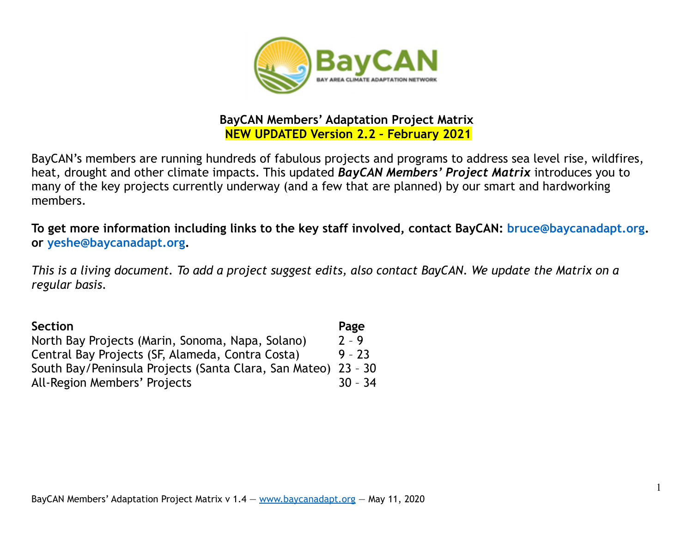

## **BayCAN Members' Adaptation Project Matrix NEW UPDATED Version 2.2 – February 2021**

BayCAN's members are running hundreds of fabulous projects and programs to address sea level rise, wildfires, heat, drought and other climate impacts. This updated *BayCAN Members' Project Matrix* introduces you to many of the key projects currently underway (and a few that are planned) by our smart and hardworking members.

**To get more information including links to the key staff involved, contact BayCAN: [bruce@baycanadapt.org.](mailto:bruce@baycanadapt.org) or [yeshe@baycanadapt.org.](mailto:yeshe@baycanadapt.org)** 

*This is a living document. To add a project suggest edits, also contact BayCAN. We update the Matrix on a regular basis.* 

| <b>Section</b>                                                | Page      |
|---------------------------------------------------------------|-----------|
| North Bay Projects (Marin, Sonoma, Napa, Solano)              | $2 - 9$   |
| Central Bay Projects (SF, Alameda, Contra Costa)              | $9 - 23$  |
| South Bay/Peninsula Projects (Santa Clara, San Mateo) 23 - 30 |           |
| All-Region Members' Projects                                  | $30 - 34$ |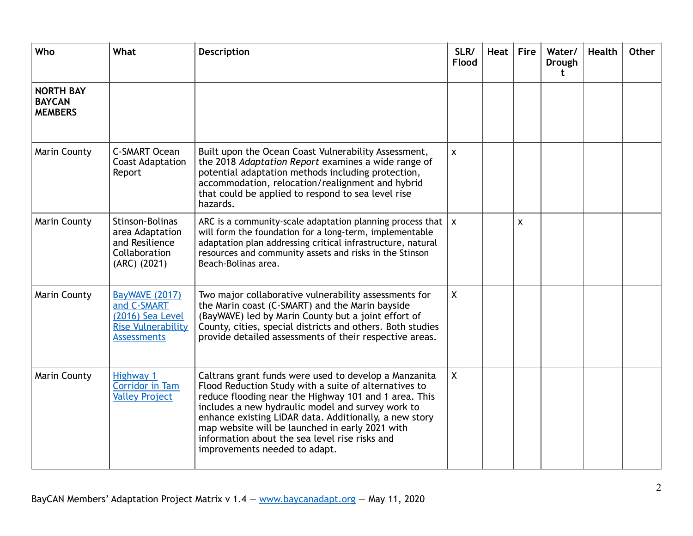| Who                                                 | What                                                                                                        | Description                                                                                                                                                                                                                                                                                                                                                                                                                  | SLR/<br>Flood | Heat $ $ Fire |   | Water/<br>Drough<br>t | <b>Health</b> | <b>Other</b> |
|-----------------------------------------------------|-------------------------------------------------------------------------------------------------------------|------------------------------------------------------------------------------------------------------------------------------------------------------------------------------------------------------------------------------------------------------------------------------------------------------------------------------------------------------------------------------------------------------------------------------|---------------|---------------|---|-----------------------|---------------|--------------|
| <b>NORTH BAY</b><br><b>BAYCAN</b><br><b>MEMBERS</b> |                                                                                                             |                                                                                                                                                                                                                                                                                                                                                                                                                              |               |               |   |                       |               |              |
| <b>Marin County</b>                                 | <b>C-SMART Ocean</b><br><b>Coast Adaptation</b><br>Report                                                   | Built upon the Ocean Coast Vulnerability Assessment,<br>the 2018 Adaptation Report examines a wide range of<br>potential adaptation methods including protection,<br>accommodation, relocation/realignment and hybrid<br>that could be applied to respond to sea level rise<br>hazards.                                                                                                                                      | $\mathsf{x}$  |               |   |                       |               |              |
| Marin County                                        | <b>Stinson-Bolinas</b><br>area Adaptation<br>and Resilience<br>Collaboration<br>(ARC) (2021)                | ARC is a community-scale adaptation planning process that $\vert x \vert$<br>will form the foundation for a long-term, implementable<br>adaptation plan addressing critical infrastructure, natural<br>resources and community assets and risks in the Stinson<br>Beach-Bolinas area.                                                                                                                                        |               |               | X |                       |               |              |
| <b>Marin County</b>                                 | <b>BayWAVE (2017)</b><br>and C-SMART<br>(2016) Sea Level<br><b>Rise Vulnerability</b><br><b>Assessments</b> | Two major collaborative vulnerability assessments for<br>the Marin coast (C-SMART) and the Marin bayside<br>(BayWAVE) led by Marin County but a joint effort of<br>County, cities, special districts and others. Both studies<br>provide detailed assessments of their respective areas.                                                                                                                                     | X             |               |   |                       |               |              |
| Marin County                                        | Highway 1<br>Corridor in Tam<br><b>Valley Project</b>                                                       | Caltrans grant funds were used to develop a Manzanita<br>Flood Reduction Study with a suite of alternatives to<br>reduce flooding near the Highway 101 and 1 area. This<br>includes a new hydraulic model and survey work to<br>enhance existing LiDAR data. Additionally, a new story<br>map website will be launched in early 2021 with<br>information about the sea level rise risks and<br>improvements needed to adapt. | X             |               |   |                       |               |              |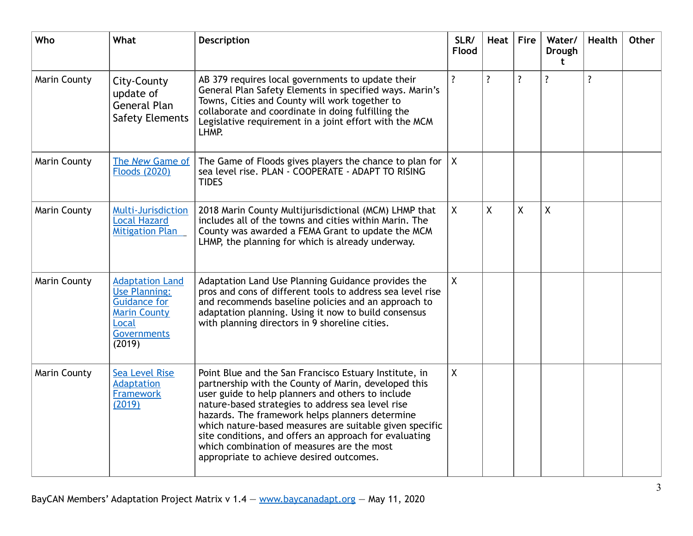| Who                 | What                                                                                                                           | Description                                                                                                                                                                                                                                                                                                                                                                                                                                                                                | SLR/<br><b>Flood</b> | Heat         | <b>Fire</b>  | Water/<br><b>Drough</b><br>t. | <b>Health</b>      | Other |
|---------------------|--------------------------------------------------------------------------------------------------------------------------------|--------------------------------------------------------------------------------------------------------------------------------------------------------------------------------------------------------------------------------------------------------------------------------------------------------------------------------------------------------------------------------------------------------------------------------------------------------------------------------------------|----------------------|--------------|--------------|-------------------------------|--------------------|-------|
| Marin County        | City-County<br>update of<br><b>General Plan</b><br><b>Safety Elements</b>                                                      | AB 379 requires local governments to update their<br>General Plan Safety Elements in specified ways. Marin's<br>Towns, Cities and County will work together to<br>collaborate and coordinate in doing fulfilling the<br>Legislative requirement in a joint effort with the MCM<br>LHMP.                                                                                                                                                                                                    | ?                    | $\ddot{?}$   | ?            | ?                             | $\overline{\cdot}$ |       |
| <b>Marin County</b> | The New Game of<br><b>Floods (2020)</b>                                                                                        | The Game of Floods gives players the chance to plan for $ X $<br>sea level rise. PLAN - COOPERATE - ADAPT TO RISING<br><b>TIDES</b>                                                                                                                                                                                                                                                                                                                                                        |                      |              |              |                               |                    |       |
| <b>Marin County</b> | Multi-Jurisdiction<br><b>Local Hazard</b><br><b>Mitigation Plan</b>                                                            | 2018 Marin County Multijurisdictional (MCM) LHMP that<br>includes all of the towns and cities within Marin. The<br>County was awarded a FEMA Grant to update the MCM<br>LHMP, the planning for which is already underway.                                                                                                                                                                                                                                                                  | $\mathsf{X}$         | $\mathsf{X}$ | $\mathsf{X}$ | X                             |                    |       |
| <b>Marin County</b> | <b>Adaptation Land</b><br>Use Planning:<br><b>Guidance for</b><br><b>Marin County</b><br>Local<br><b>Governments</b><br>(2019) | Adaptation Land Use Planning Guidance provides the<br>pros and cons of different tools to address sea level rise<br>and recommends baseline policies and an approach to<br>adaptation planning. Using it now to build consensus<br>with planning directors in 9 shoreline cities.                                                                                                                                                                                                          | $\mathsf{X}$         |              |              |                               |                    |       |
| Marin County        | <b>Sea Level Rise</b><br>Adaptation<br>Framework<br>(2019)                                                                     | Point Blue and the San Francisco Estuary Institute, in<br>partnership with the County of Marin, developed this<br>user guide to help planners and others to include<br>nature-based strategies to address sea level rise<br>hazards. The framework helps planners determine<br>which nature-based measures are suitable given specific<br>site conditions, and offers an approach for evaluating<br>which combination of measures are the most<br>appropriate to achieve desired outcomes. | X                    |              |              |                               |                    |       |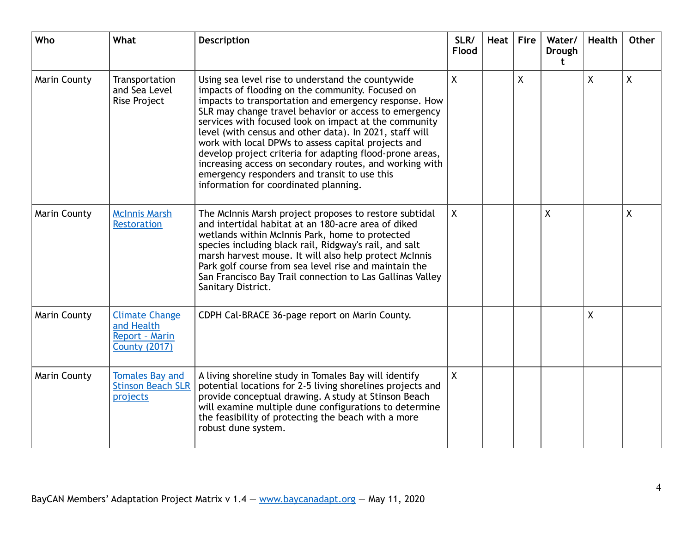| Who                 | What                                                                          | <b>Description</b>                                                                                                                                                                                                                                                                                                                                                                                                                                                                                                                                                                                                 | SLR/<br>Flood | Heat | <b>Fire</b>  | Water/<br><b>Drough</b><br>t. | <b>Health</b> | Other        |
|---------------------|-------------------------------------------------------------------------------|--------------------------------------------------------------------------------------------------------------------------------------------------------------------------------------------------------------------------------------------------------------------------------------------------------------------------------------------------------------------------------------------------------------------------------------------------------------------------------------------------------------------------------------------------------------------------------------------------------------------|---------------|------|--------------|-------------------------------|---------------|--------------|
| <b>Marin County</b> | Transportation<br>and Sea Level<br>Rise Project                               | Using sea level rise to understand the countywide<br>impacts of flooding on the community. Focused on<br>impacts to transportation and emergency response. How<br>SLR may change travel behavior or access to emergency<br>services with focused look on impact at the community<br>level (with census and other data). In 2021, staff will<br>work with local DPWs to assess capital projects and<br>develop project criteria for adapting flood-prone areas,<br>increasing access on secondary routes, and working with<br>emergency responders and transit to use this<br>information for coordinated planning. | $\sf X$       |      | $\mathsf{X}$ |                               | X             | $\mathsf{X}$ |
| Marin County        | <b>McInnis Marsh</b><br>Restoration                                           | The McInnis Marsh project proposes to restore subtidal<br>and intertidal habitat at an 180-acre area of diked<br>wetlands within McInnis Park, home to protected<br>species including black rail, Ridgway's rail, and salt<br>marsh harvest mouse. It will also help protect McInnis<br>Park golf course from sea level rise and maintain the<br>San Francisco Bay Trail connection to Las Gallinas Valley<br>Sanitary District.                                                                                                                                                                                   | X             |      |              | $\overline{X}$                |               | $\mathsf{X}$ |
| Marin County        | <b>Climate Change</b><br>and Health<br>Report - Marin<br><b>County (2017)</b> | CDPH Cal-BRACE 36-page report on Marin County.                                                                                                                                                                                                                                                                                                                                                                                                                                                                                                                                                                     |               |      |              |                               | χ             |              |
| Marin County        | <b>Tomales Bay and</b><br><b>Stinson Beach SLR</b><br>projects                | A living shoreline study in Tomales Bay will identify<br>potential locations for 2-5 living shorelines projects and<br>provide conceptual drawing. A study at Stinson Beach<br>will examine multiple dune configurations to determine<br>the feasibility of protecting the beach with a more<br>robust dune system.                                                                                                                                                                                                                                                                                                | X             |      |              |                               |               |              |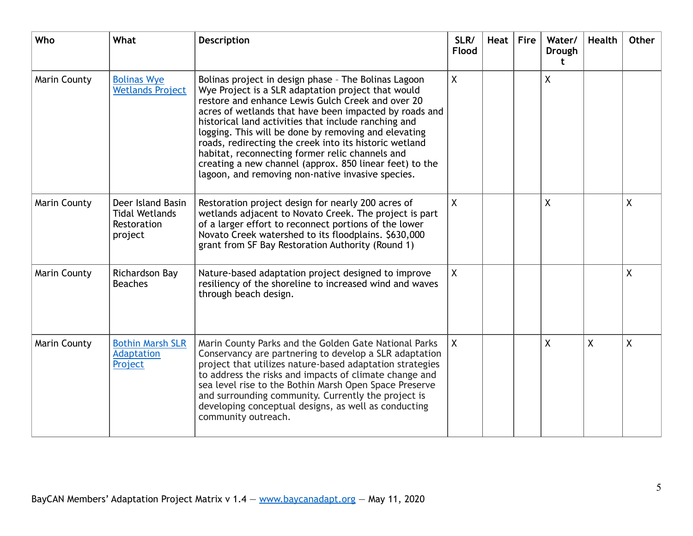| Who          | What                                                                 | <b>Description</b>                                                                                                                                                                                                                                                                                                                                                                                                                                                                                                                                                     | SLR/<br>Flood    | Heat | <b>Fire</b> | Water/<br>Drough<br>t | Health | Other                   |
|--------------|----------------------------------------------------------------------|------------------------------------------------------------------------------------------------------------------------------------------------------------------------------------------------------------------------------------------------------------------------------------------------------------------------------------------------------------------------------------------------------------------------------------------------------------------------------------------------------------------------------------------------------------------------|------------------|------|-------------|-----------------------|--------|-------------------------|
| Marin County | <b>Bolinas Wye</b><br><b>Wetlands Project</b>                        | Bolinas project in design phase - The Bolinas Lagoon<br>Wye Project is a SLR adaptation project that would<br>restore and enhance Lewis Gulch Creek and over 20<br>acres of wetlands that have been impacted by roads and<br>historical land activities that include ranching and<br>logging. This will be done by removing and elevating<br>roads, redirecting the creek into its historic wetland<br>habitat, reconnecting former relic channels and<br>creating a new channel (approx. 850 linear feet) to the<br>lagoon, and removing non-native invasive species. | $\mathsf{X}$     |      |             | $\mathsf{X}$          |        |                         |
| Marin County | Deer Island Basin<br><b>Tidal Wetlands</b><br>Restoration<br>project | Restoration project design for nearly 200 acres of<br>wetlands adjacent to Novato Creek. The project is part<br>of a larger effort to reconnect portions of the lower<br>Novato Creek watershed to its floodplains. \$630,000<br>grant from SF Bay Restoration Authority (Round 1)                                                                                                                                                                                                                                                                                     | X                |      |             | $\sf X$               |        | $\sf X$                 |
| Marin County | Richardson Bay<br><b>Beaches</b>                                     | Nature-based adaptation project designed to improve<br>resiliency of the shoreline to increased wind and waves<br>through beach design.                                                                                                                                                                                                                                                                                                                                                                                                                                | $\boldsymbol{X}$ |      |             |                       |        | X                       |
| Marin County | <b>Bothin Marsh SLR</b><br><b>Adaptation</b><br>Project              | Marin County Parks and the Golden Gate National Parks<br>Conservancy are partnering to develop a SLR adaptation<br>project that utilizes nature-based adaptation strategies<br>to address the risks and impacts of climate change and<br>sea level rise to the Bothin Marsh Open Space Preserve<br>and surrounding community. Currently the project is<br>developing conceptual designs, as well as conducting<br>community outreach.                                                                                                                                  | $\mathsf{X}$     |      |             | $\sf X$               | X      | $\overline{\mathsf{X}}$ |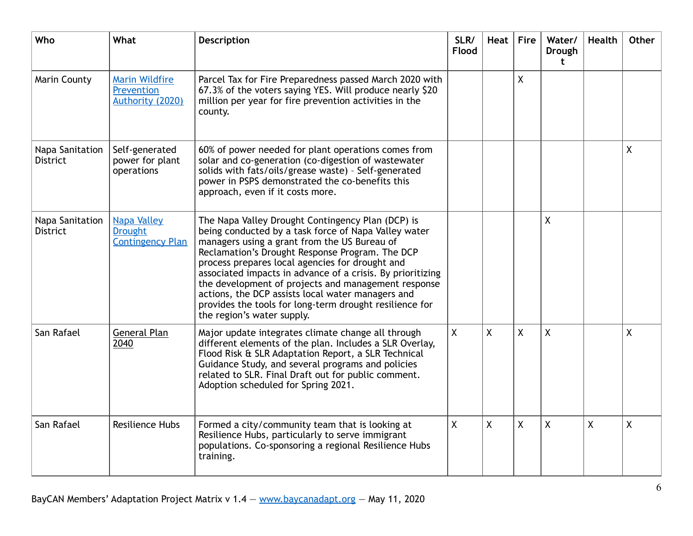| Who                                | What                                                            | Description                                                                                                                                                                                                                                                                                                                                                                                                                                                                                                                        | SLR/<br>Flood | Heat    | Fire | Water/<br>Drough<br>t | <b>Health</b> | Other   |
|------------------------------------|-----------------------------------------------------------------|------------------------------------------------------------------------------------------------------------------------------------------------------------------------------------------------------------------------------------------------------------------------------------------------------------------------------------------------------------------------------------------------------------------------------------------------------------------------------------------------------------------------------------|---------------|---------|------|-----------------------|---------------|---------|
| Marin County                       | <b>Marin Wildfire</b><br>Prevention<br><b>Authority (2020)</b>  | Parcel Tax for Fire Preparedness passed March 2020 with<br>67.3% of the voters saying YES. Will produce nearly \$20<br>million per year for fire prevention activities in the<br>county.                                                                                                                                                                                                                                                                                                                                           |               |         | X    |                       |               |         |
| Napa Sanitation<br><b>District</b> | Self-generated<br>power for plant<br>operations                 | 60% of power needed for plant operations comes from<br>solar and co-generation (co-digestion of wastewater<br>solids with fats/oils/grease waste) - Self-generated<br>power in PSPS demonstrated the co-benefits this<br>approach, even if it costs more.                                                                                                                                                                                                                                                                          |               |         |      |                       |               | X       |
| Napa Sanitation<br><b>District</b> | <b>Napa Valley</b><br><b>Drought</b><br><b>Contingency Plan</b> | The Napa Valley Drought Contingency Plan (DCP) is<br>being conducted by a task force of Napa Valley water<br>managers using a grant from the US Bureau of<br>Reclamation's Drought Response Program. The DCP<br>process prepares local agencies for drought and<br>associated impacts in advance of a crisis. By prioritizing<br>the development of projects and management response<br>actions, the DCP assists local water managers and<br>provides the tools for long-term drought resilience for<br>the region's water supply. |               |         |      | X                     |               |         |
| San Rafael                         | <b>General Plan</b><br>2040                                     | Major update integrates climate change all through<br>different elements of the plan. Includes a SLR Overlay,<br>Flood Risk & SLR Adaptation Report, a SLR Technical<br>Guidance Study, and several programs and policies<br>related to SLR. Final Draft out for public comment.<br>Adoption scheduled for Spring 2021.                                                                                                                                                                                                            | $\mathsf X$   | $\sf X$ | X    | X                     |               | $\sf X$ |
| San Rafael                         | <b>Resilience Hubs</b>                                          | Formed a city/community team that is looking at<br>Resilience Hubs, particularly to serve immigrant<br>populations. Co-sponsoring a regional Resilience Hubs<br>training.                                                                                                                                                                                                                                                                                                                                                          | X             | $\sf X$ | X    | X                     | χ             | $\sf X$ |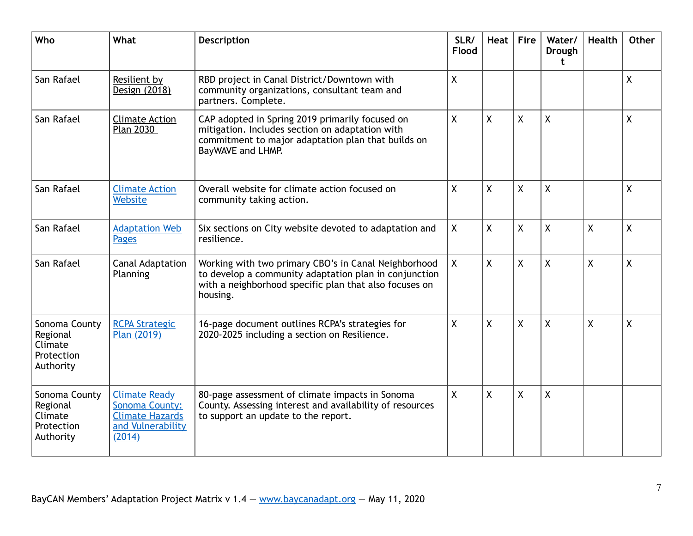| Who                                                             | What                                                                                            | <b>Description</b>                                                                                                                                                                  | SLR/<br><b>Flood</b> | Heat           | <b>Fire</b> | Water/<br><b>Drough</b><br>t | <b>Health</b> | Other   |
|-----------------------------------------------------------------|-------------------------------------------------------------------------------------------------|-------------------------------------------------------------------------------------------------------------------------------------------------------------------------------------|----------------------|----------------|-------------|------------------------------|---------------|---------|
| San Rafael                                                      | Resilient by<br>Design (2018)                                                                   | RBD project in Canal District/Downtown with<br>community organizations, consultant team and<br>partners. Complete.                                                                  | $\sf X$              |                |             |                              |               | $\sf X$ |
| San Rafael                                                      | <b>Climate Action</b><br><b>Plan 2030</b>                                                       | CAP adopted in Spring 2019 primarily focused on<br>mitigation. Includes section on adaptation with<br>commitment to major adaptation plan that builds on<br>BayWAVE and LHMP.       | $\mathsf{X}$         | $\mathsf{X}$   | X           | X                            |               | X       |
| San Rafael                                                      | <b>Climate Action</b><br>Website                                                                | Overall website for climate action focused on<br>community taking action.                                                                                                           | X                    | $\mathsf{X}$   | X           | $\sf X$                      |               | $\sf X$ |
| San Rafael                                                      | <b>Adaptation Web</b><br><b>Pages</b>                                                           | Six sections on City website devoted to adaptation and<br>resilience.                                                                                                               | X                    | $\overline{X}$ | X           | $\overline{\mathsf{X}}$      | Χ             | $\sf X$ |
| San Rafael                                                      | <b>Canal Adaptation</b><br>Planning                                                             | Working with two primary CBO's in Canal Neighborhood<br>to develop a community adaptation plan in conjunction<br>with a neighborhood specific plan that also focuses on<br>housing. | $\mathsf{X}$         | $\mathsf{X}$   | X           | X                            | X             | $\sf X$ |
| Sonoma County<br>Regional<br>Climate<br>Protection<br>Authority | <b>RCPA Strategic</b><br>Plan (2019)                                                            | 16-page document outlines RCPA's strategies for<br>2020-2025 including a section on Resilience.                                                                                     | Χ                    | $\sf X$        | X           | X                            | Χ             | $\sf X$ |
| Sonoma County<br>Regional<br>Climate<br>Protection<br>Authority | <b>Climate Ready</b><br>Sonoma County:<br><b>Climate Hazards</b><br>and Vulnerability<br>(2014) | 80-page assessment of climate impacts in Sonoma<br>County. Assessing interest and availability of resources<br>to support an update to the report.                                  | $\sf X$              | $\sf X$        | X           | $\sf X$                      |               |         |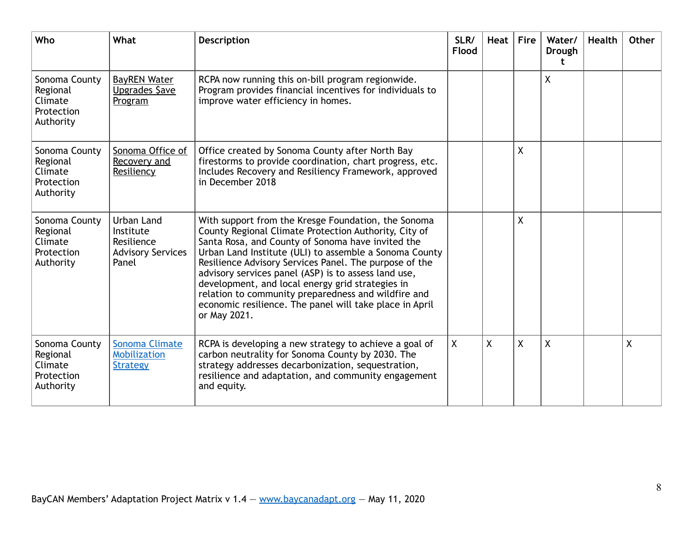| Who                                                             | What                                                                       | <b>Description</b>                                                                                                                                                                                                                                                                                                                                                                                                                                                                                                                  | SLR/<br><b>Flood</b> | Heat | Fire | Water/<br>Drough<br>t. | Health | <b>Other</b> |
|-----------------------------------------------------------------|----------------------------------------------------------------------------|-------------------------------------------------------------------------------------------------------------------------------------------------------------------------------------------------------------------------------------------------------------------------------------------------------------------------------------------------------------------------------------------------------------------------------------------------------------------------------------------------------------------------------------|----------------------|------|------|------------------------|--------|--------------|
| Sonoma County<br>Regional<br>Climate<br>Protection<br>Authority | <b>BayREN Water</b><br>Upgrades Save<br>Program                            | RCPA now running this on-bill program regionwide.<br>Program provides financial incentives for individuals to<br>improve water efficiency in homes.                                                                                                                                                                                                                                                                                                                                                                                 |                      |      |      | X                      |        |              |
| Sonoma County<br>Regional<br>Climate<br>Protection<br>Authority | Sonoma Office of<br>Recovery and<br>Resiliency                             | Office created by Sonoma County after North Bay<br>firestorms to provide coordination, chart progress, etc.<br>Includes Recovery and Resiliency Framework, approved<br>in December 2018                                                                                                                                                                                                                                                                                                                                             |                      |      | Χ    |                        |        |              |
| Sonoma County<br>Regional<br>Climate<br>Protection<br>Authority | Urban Land<br>Institute<br>Resilience<br><b>Advisory Services</b><br>Panel | With support from the Kresge Foundation, the Sonoma<br>County Regional Climate Protection Authority, City of<br>Santa Rosa, and County of Sonoma have invited the<br>Urban Land Institute (ULI) to assemble a Sonoma County<br>Resilience Advisory Services Panel. The purpose of the<br>advisory services panel (ASP) is to assess land use,<br>development, and local energy grid strategies in<br>relation to community preparedness and wildfire and<br>economic resilience. The panel will take place in April<br>or May 2021. |                      |      | Χ    |                        |        |              |
| Sonoma County<br>Regional<br>Climate<br>Protection<br>Authority | Sonoma Climate<br>Mobilization<br><b>Strategy</b>                          | RCPA is developing a new strategy to achieve a goal of<br>carbon neutrality for Sonoma County by 2030. The<br>strategy addresses decarbonization, sequestration,<br>resilience and adaptation, and community engagement<br>and equity.                                                                                                                                                                                                                                                                                              | $\mathsf{X}$         | X    | X    | $\sf X$                |        | $\sf X$      |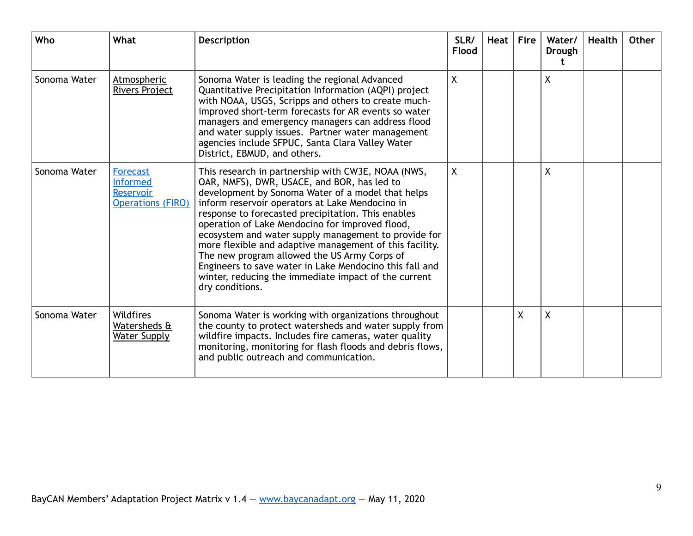| Who          | What                                                                               | <b>Description</b>                                                                                                                                                                                                                                                                                                                                                                                                                                                                                                                                                                                                          | SLR/<br><b>Flood</b> | Heat | <b>Fire</b> | Water/<br>Drough | <b>Health</b> | <b>Other</b> |
|--------------|------------------------------------------------------------------------------------|-----------------------------------------------------------------------------------------------------------------------------------------------------------------------------------------------------------------------------------------------------------------------------------------------------------------------------------------------------------------------------------------------------------------------------------------------------------------------------------------------------------------------------------------------------------------------------------------------------------------------------|----------------------|------|-------------|------------------|---------------|--------------|
| Sonoma Water | <b>Atmospheric</b><br><b>Rivers Project</b>                                        | Sonoma Water is leading the regional Advanced<br>Quantitative Precipitation Information (AQPI) project<br>with NOAA, USGS, Scripps and others to create much-<br>improved short-term forecasts for AR events so water<br>managers and emergency managers can address flood<br>and water supply issues. Partner water management<br>agencies include SFPUC, Santa Clara Valley Water<br>District, EBMUD, and others.                                                                                                                                                                                                         | $\mathsf{X}$         |      |             | X                |               |              |
| Sonoma Water | <b>Forecast</b><br><b>Informed</b><br><b>Reservoir</b><br><b>Operations (FIRO)</b> | This research in partnership with CW3E, NOAA (NWS,<br>OAR, NMFS), DWR, USACE, and BOR, has led to<br>development by Sonoma Water of a model that helps<br>inform reservoir operators at Lake Mendocino in<br>response to forecasted precipitation. This enables<br>operation of Lake Mendocino for improved flood,<br>ecosystem and water supply management to provide for<br>more flexible and adaptive management of this facility.<br>The new program allowed the US Army Corps of<br>Engineers to save water in Lake Mendocino this fall and<br>winter, reducing the immediate impact of the current<br>dry conditions. | X                    |      |             | Χ                |               |              |
| Sonoma Water | <b>Wildfires</b><br>Watersheds &<br><b>Water Supply</b>                            | Sonoma Water is working with organizations throughout<br>the county to protect watersheds and water supply from<br>wildfire impacts. Includes fire cameras, water quality<br>monitoring, monitoring for flash floods and debris flows,<br>and public outreach and communication.                                                                                                                                                                                                                                                                                                                                            |                      |      | X           | X                |               |              |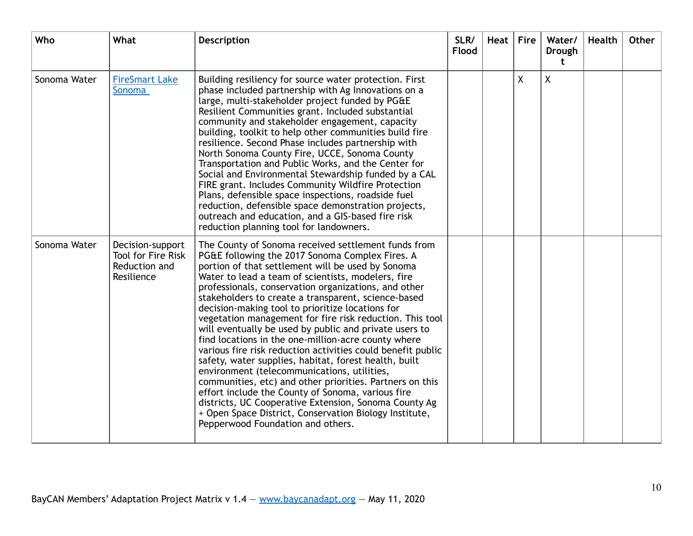| Who          | What                                                                  | <b>Description</b>                                                                                                                                                                                                                                                                                                                                                                                                                                                                                                                                                                                                                                                                                                                                                                                                                                                                                                                                                                                                | SLR/<br>Flood | <b>Heat</b> | <b>Fire</b>  | Water/<br><b>Drough</b><br>t. | <b>Health</b> | Other |
|--------------|-----------------------------------------------------------------------|-------------------------------------------------------------------------------------------------------------------------------------------------------------------------------------------------------------------------------------------------------------------------------------------------------------------------------------------------------------------------------------------------------------------------------------------------------------------------------------------------------------------------------------------------------------------------------------------------------------------------------------------------------------------------------------------------------------------------------------------------------------------------------------------------------------------------------------------------------------------------------------------------------------------------------------------------------------------------------------------------------------------|---------------|-------------|--------------|-------------------------------|---------------|-------|
| Sonoma Water | <b>FireSmart Lake</b><br>Sonoma                                       | Building resiliency for source water protection. First<br>phase included partnership with Ag Innovations on a<br>large, multi-stakeholder project funded by PG&E<br>Resilient Communities grant. Included substantial<br>community and stakeholder engagement, capacity<br>building, toolkit to help other communities build fire<br>resilience. Second Phase includes partnership with<br>North Sonoma County Fire, UCCE, Sonoma County<br>Transportation and Public Works, and the Center for<br>Social and Environmental Stewardship funded by a CAL<br>FIRE grant. Includes Community Wildfire Protection<br>Plans, defensible space inspections, roadside fuel<br>reduction, defensible space demonstration projects,<br>outreach and education, and a GIS-based fire risk<br>reduction planning tool for landowners.                                                                                                                                                                                        |               |             | $\mathsf{X}$ | $\mathsf{X}$                  |               |       |
| Sonoma Water | Decision-support<br>Tool for Fire Risk<br>Reduction and<br>Resilience | The County of Sonoma received settlement funds from<br>PG&E following the 2017 Sonoma Complex Fires. A<br>portion of that settlement will be used by Sonoma<br>Water to lead a team of scientists, modelers, fire<br>professionals, conservation organizations, and other<br>stakeholders to create a transparent, science-based<br>decision-making tool to prioritize locations for<br>vegetation management for fire risk reduction. This tool<br>will eventually be used by public and private users to<br>find locations in the one-million-acre county where<br>various fire risk reduction activities could benefit public<br>safety, water supplies, habitat, forest health, built<br>environment (telecommunications, utilities,<br>communities, etc) and other priorities. Partners on this<br>effort include the County of Sonoma, various fire<br>districts, UC Cooperative Extension, Sonoma County Ag<br>+ Open Space District, Conservation Biology Institute,<br>Pepperwood Foundation and others. |               |             |              |                               |               |       |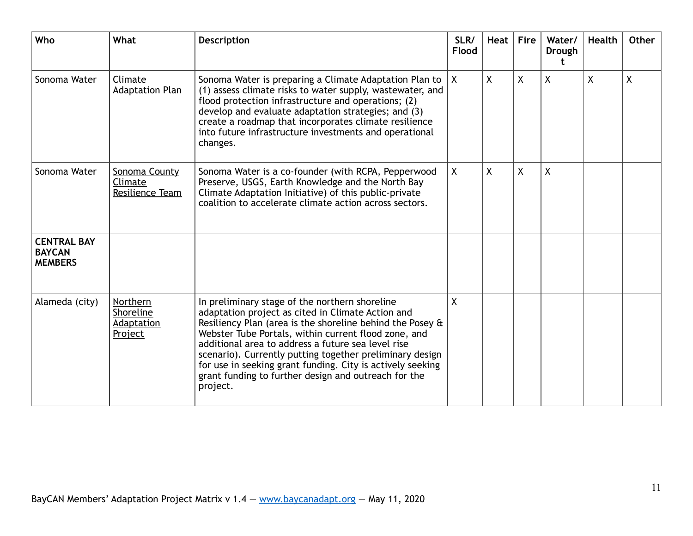| Who                                                   | What                                           | <b>Description</b>                                                                                                                                                                                                                                                                                                                                                                                                                                                           | SLR/<br><b>Flood</b> | Heat         | <b>Fire</b>  | Water/<br>Drough<br>t. | <b>Health</b> | Other        |
|-------------------------------------------------------|------------------------------------------------|------------------------------------------------------------------------------------------------------------------------------------------------------------------------------------------------------------------------------------------------------------------------------------------------------------------------------------------------------------------------------------------------------------------------------------------------------------------------------|----------------------|--------------|--------------|------------------------|---------------|--------------|
| Sonoma Water                                          | Climate<br><b>Adaptation Plan</b>              | Sonoma Water is preparing a Climate Adaptation Plan to<br>(1) assess climate risks to water supply, wastewater, and<br>flood protection infrastructure and operations; (2)<br>develop and evaluate adaptation strategies; and (3)<br>create a roadmap that incorporates climate resilience<br>into future infrastructure investments and operational<br>changes.                                                                                                             | $\sf X$              | $\mathsf{X}$ | $\mathsf{X}$ | $\mathsf{X}$           | X             | $\mathsf{X}$ |
| Sonoma Water                                          | Sonoma County<br>Climate<br>Resilience Team    | Sonoma Water is a co-founder (with RCPA, Pepperwood<br>Preserve, USGS, Earth Knowledge and the North Bay<br>Climate Adaptation Initiative) of this public-private<br>coalition to accelerate climate action across sectors.                                                                                                                                                                                                                                                  | $\mathsf{X}$         | $\mathsf{X}$ | X            | $\sf X$                |               |              |
| <b>CENTRAL BAY</b><br><b>BAYCAN</b><br><b>MEMBERS</b> |                                                |                                                                                                                                                                                                                                                                                                                                                                                                                                                                              |                      |              |              |                        |               |              |
| Alameda (city)                                        | Northern<br>Shoreline<br>Adaptation<br>Project | In preliminary stage of the northern shoreline<br>adaptation project as cited in Climate Action and<br>Resiliency Plan (area is the shoreline behind the Posey &<br>Webster Tube Portals, within current flood zone, and<br>additional area to address a future sea level rise<br>scenario). Currently putting together preliminary design<br>for use in seeking grant funding. City is actively seeking<br>grant funding to further design and outreach for the<br>project. | χ                    |              |              |                        |               |              |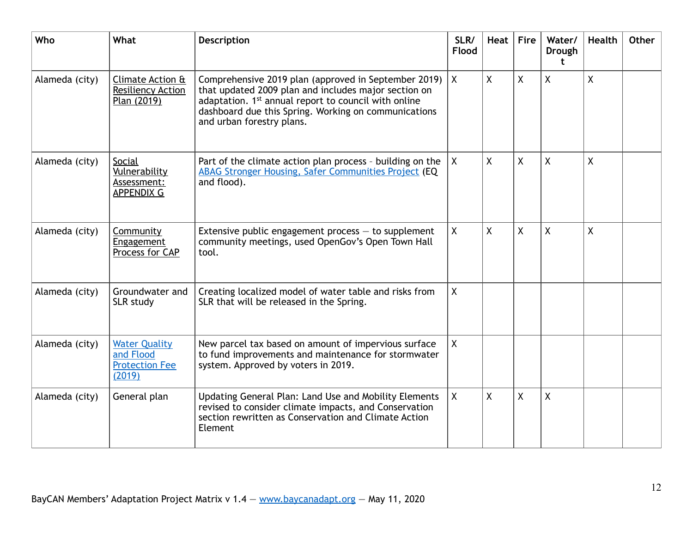| Who            | What                                                                 | <b>Description</b>                                                                                                                                                                                                                                                    | SLR/<br>Flood | Heat           | <b>Fire</b>  | Water/<br><b>Drough</b><br>t | <b>Health</b>  | <b>Other</b> |
|----------------|----------------------------------------------------------------------|-----------------------------------------------------------------------------------------------------------------------------------------------------------------------------------------------------------------------------------------------------------------------|---------------|----------------|--------------|------------------------------|----------------|--------------|
| Alameda (city) | Climate Action &<br><b>Resiliency Action</b><br>Plan (2019)          | Comprehensive 2019 plan (approved in September 2019)<br>that updated 2009 plan and includes major section on<br>adaptation. 1 <sup>st</sup> annual report to council with online<br>dashboard due this Spring. Working on communications<br>and urban forestry plans. | $\mathsf{X}$  | $\overline{X}$ | $\mathsf{X}$ | $\sf X$                      | $\overline{X}$ |              |
| Alameda (city) | Social<br>Vulnerability<br>Assessment:<br><b>APPENDIX G</b>          | Part of the climate action plan process - building on the<br><b>ABAG Stronger Housing, Safer Communities Project (EQ</b><br>and flood).                                                                                                                               | $\mathsf{X}$  | $\mathsf{X}$   | $\mathsf{X}$ | $\mathsf{X}$                 | $\sf X$        |              |
| Alameda (city) | Community<br>Engagement<br>Process for CAP                           | Extensive public engagement process $-$ to supplement<br>community meetings, used OpenGov's Open Town Hall<br>tool.                                                                                                                                                   | $\mathsf{X}$  | $\mathsf{X}$   | $\mathsf{X}$ | $\sf X$                      | X              |              |
| Alameda (city) | Groundwater and<br>SLR study                                         | Creating localized model of water table and risks from<br>SLR that will be released in the Spring.                                                                                                                                                                    | $\mathsf{X}$  |                |              |                              |                |              |
| Alameda (city) | <b>Water Quality</b><br>and Flood<br><b>Protection Fee</b><br>(2019) | New parcel tax based on amount of impervious surface<br>to fund improvements and maintenance for stormwater<br>system. Approved by voters in 2019.                                                                                                                    | $\mathsf{X}$  |                |              |                              |                |              |
| Alameda (city) | General plan                                                         | Updating General Plan: Land Use and Mobility Elements<br>revised to consider climate impacts, and Conservation<br>section rewritten as Conservation and Climate Action<br>Element                                                                                     | $\mathsf{X}$  | $\sf X$        | $\mathsf{X}$ | $\sf X$                      |                |              |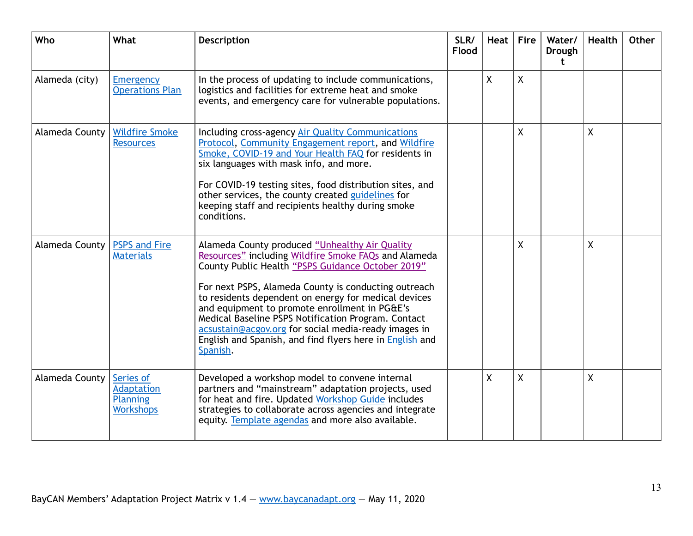| Who            | What                                                           | <b>Description</b>                                                                                                                                                                                                                                                                                                                                                                                                                                                                                                  | SLR/<br>Flood | Heat           | <b>Fire</b>  | Water/<br>Drough<br>t. | <b>Health</b> | <b>Other</b> |
|----------------|----------------------------------------------------------------|---------------------------------------------------------------------------------------------------------------------------------------------------------------------------------------------------------------------------------------------------------------------------------------------------------------------------------------------------------------------------------------------------------------------------------------------------------------------------------------------------------------------|---------------|----------------|--------------|------------------------|---------------|--------------|
| Alameda (city) | <b>Emergency</b><br><b>Operations Plan</b>                     | In the process of updating to include communications,<br>logistics and facilities for extreme heat and smoke<br>events, and emergency care for vulnerable populations.                                                                                                                                                                                                                                                                                                                                              |               | $\overline{X}$ | $\mathsf{X}$ |                        |               |              |
| Alameda County | <b>Wildfire Smoke</b><br><b>Resources</b>                      | Including cross-agency Air Quality Communications<br>Protocol, Community Engagement report, and Wildfire<br>Smoke, COVID-19 and Your Health FAQ for residents in<br>six languages with mask info, and more.<br>For COVID-19 testing sites, food distribution sites, and<br>other services, the county created guidelines for<br>keeping staff and recipients healthy during smoke<br>conditions.                                                                                                                    |               |                | $\mathsf{X}$ |                        | χ             |              |
| Alameda County | <b>PSPS and Fire</b><br><b>Materials</b>                       | Alameda County produced "Unhealthy Air Quality<br>Resources" including Wildfire Smoke FAQs and Alameda<br>County Public Health "PSPS Guidance October 2019"<br>For next PSPS, Alameda County is conducting outreach<br>to residents dependent on energy for medical devices<br>and equipment to promote enrollment in PG&E's<br>Medical Baseline PSPS Notification Program. Contact<br>acsustain@acgov.org for social media-ready images in<br>English and Spanish, and find flyers here in English and<br>Spanish. |               |                | χ            |                        | Χ             |              |
| Alameda County | Series of<br>Adaptation<br><b>Planning</b><br><b>Workshops</b> | Developed a workshop model to convene internal<br>partners and "mainstream" adaptation projects, used<br>for heat and fire. Updated Workshop Guide includes<br>strategies to collaborate across agencies and integrate<br>equity. Template agendas and more also available.                                                                                                                                                                                                                                         |               | X              | Χ            |                        | χ             |              |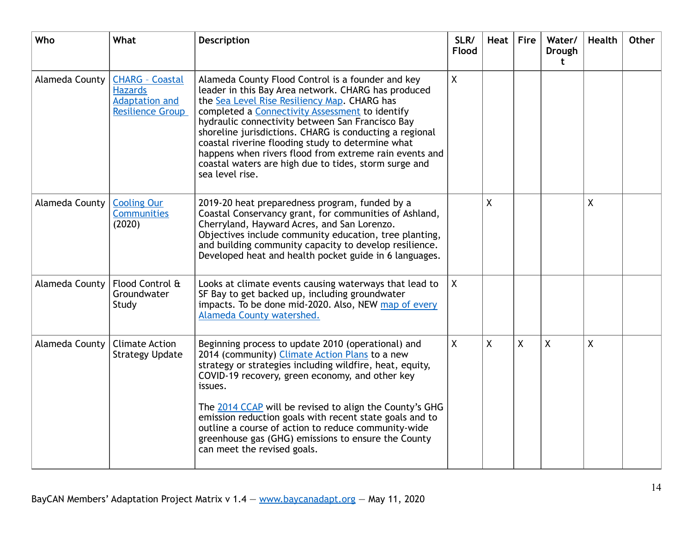| Who            | What                                                                                         | <b>Description</b>                                                                                                                                                                                                                                                                                                                                                                                                                                                                                                    | SLR/<br>Flood | Heat | <b>Fire</b> | Water/<br><b>Drough</b><br>t | <b>Health</b> | Other |
|----------------|----------------------------------------------------------------------------------------------|-----------------------------------------------------------------------------------------------------------------------------------------------------------------------------------------------------------------------------------------------------------------------------------------------------------------------------------------------------------------------------------------------------------------------------------------------------------------------------------------------------------------------|---------------|------|-------------|------------------------------|---------------|-------|
| Alameda County | <b>CHARG - Coastal</b><br><b>Hazards</b><br><b>Adaptation and</b><br><b>Resilience Group</b> | Alameda County Flood Control is a founder and key<br>leader in this Bay Area network. CHARG has produced<br>the Sea Level Rise Resiliency Map. CHARG has<br>completed a Connectivity Assessment to identify<br>hydraulic connectivity between San Francisco Bay<br>shoreline jurisdictions. CHARG is conducting a regional<br>coastal riverine flooding study to determine what<br>happens when rivers flood from extreme rain events and<br>coastal waters are high due to tides, storm surge and<br>sea level rise. | $\mathsf{X}$  |      |             |                              |               |       |
| Alameda County | <b>Cooling Our</b><br>Communities<br>(2020)                                                  | 2019-20 heat preparedness program, funded by a<br>Coastal Conservancy grant, for communities of Ashland,<br>Cherryland, Hayward Acres, and San Lorenzo.<br>Objectives include community education, tree planting,<br>and building community capacity to develop resilience.<br>Developed heat and health pocket guide in 6 languages.                                                                                                                                                                                 |               | X    |             |                              | $\sf X$       |       |
| Alameda County | Flood Control &<br>Groundwater<br>Study                                                      | Looks at climate events causing waterways that lead to<br>SF Bay to get backed up, including groundwater<br>impacts. To be done mid-2020. Also, NEW map of every<br>Alameda County watershed.                                                                                                                                                                                                                                                                                                                         | $\mathsf{X}$  |      |             |                              |               |       |
| Alameda County | <b>Climate Action</b><br><b>Strategy Update</b>                                              | Beginning process to update 2010 (operational) and<br>2014 (community) Climate Action Plans to a new<br>strategy or strategies including wildfire, heat, equity,<br>COVID-19 recovery, green economy, and other key<br>issues.<br>The 2014 CCAP will be revised to align the County's GHG<br>emission reduction goals with recent state goals and to<br>outline a course of action to reduce community-wide<br>greenhouse gas (GHG) emissions to ensure the County<br>can meet the revised goals.                     | $\mathsf{X}$  | X    | X           | $\mathsf{X}$                 | χ             |       |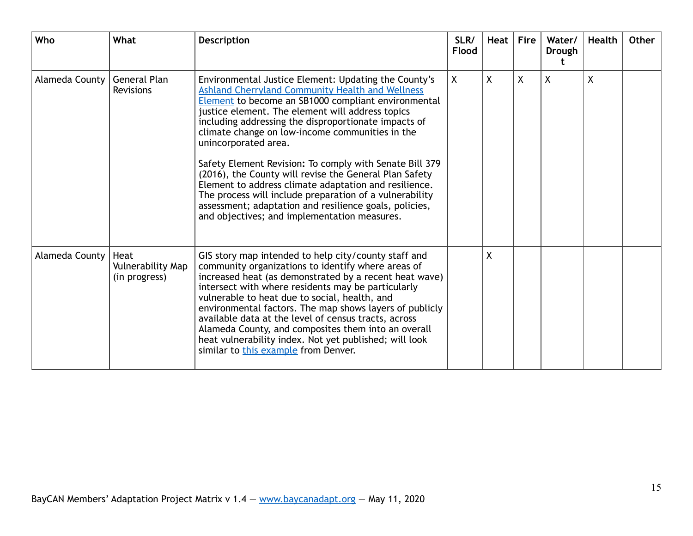| Who            | What                                              | <b>Description</b>                                                                                                                                                                                                                                                                                                                                                                                                                                                                                                                                                                                                                                                                                                      | SLR/<br><b>Flood</b> | Heat | Fire | Water/<br>Drough | <b>Health</b> | <b>Other</b> |
|----------------|---------------------------------------------------|-------------------------------------------------------------------------------------------------------------------------------------------------------------------------------------------------------------------------------------------------------------------------------------------------------------------------------------------------------------------------------------------------------------------------------------------------------------------------------------------------------------------------------------------------------------------------------------------------------------------------------------------------------------------------------------------------------------------------|----------------------|------|------|------------------|---------------|--------------|
| Alameda County | General Plan<br>Revisions                         | Environmental Justice Element: Updating the County's<br><b>Ashland Cherryland Community Health and Wellness</b><br><b>Element</b> to become an SB1000 compliant environmental<br>justice element. The element will address topics<br>including addressing the disproportionate impacts of<br>climate change on low-income communities in the<br>unincorporated area.<br>Safety Element Revision: To comply with Senate Bill 379<br>(2016), the County will revise the General Plan Safety<br>Element to address climate adaptation and resilience.<br>The process will include preparation of a vulnerability<br>assessment; adaptation and resilience goals, policies,<br>and objectives; and implementation measures. | $\mathsf{X}$         | X    | Χ    | X                | X             |              |
| Alameda County | Heat<br><b>Vulnerability Map</b><br>(in progress) | GIS story map intended to help city/county staff and<br>community organizations to identify where areas of<br>increased heat (as demonstrated by a recent heat wave)<br>intersect with where residents may be particularly<br>vulnerable to heat due to social, health, and<br>environmental factors. The map shows layers of publicly<br>available data at the level of census tracts, across<br>Alameda County, and composites them into an overall<br>heat vulnerability index. Not yet published; will look<br>similar to this example from Denver.                                                                                                                                                                 |                      | χ    |      |                  |               |              |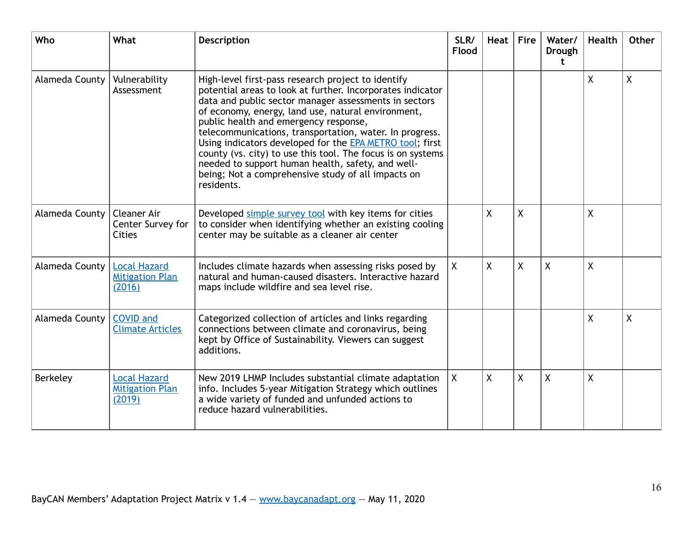| Who            | What                                                     | <b>Description</b>                                                                                                                                                                                                                                                                                                                                                                                                                                                                                                                                                                      | SLR/<br><b>Flood</b> | <b>Heat</b> | $ $ Fire | Water/<br><b>Drough</b><br>t | <b>Health</b> | <b>Other</b> |
|----------------|----------------------------------------------------------|-----------------------------------------------------------------------------------------------------------------------------------------------------------------------------------------------------------------------------------------------------------------------------------------------------------------------------------------------------------------------------------------------------------------------------------------------------------------------------------------------------------------------------------------------------------------------------------------|----------------------|-------------|----------|------------------------------|---------------|--------------|
| Alameda County | Vulnerability<br>Assessment                              | High-level first-pass research project to identify<br>potential areas to look at further. Incorporates indicator<br>data and public sector manager assessments in sectors<br>of economy, energy, land use, natural environment,<br>public health and emergency response,<br>telecommunications, transportation, water. In progress.<br>Using indicators developed for the EPA METRO tool; first<br>county (vs. city) to use this tool. The focus is on systems<br>needed to support human health, safety, and well-<br>being; Not a comprehensive study of all impacts on<br>residents. |                      |             |          |                              | $\sf X$       | $\mathsf{X}$ |
| Alameda County | <b>Cleaner Air</b><br>Center Survey for<br><b>Cities</b> | Developed simple survey tool with key items for cities<br>to consider when identifying whether an existing cooling<br>center may be suitable as a cleaner air center                                                                                                                                                                                                                                                                                                                                                                                                                    |                      | X           | X        |                              | X             |              |
| Alameda County | <b>Local Hazard</b><br><b>Mitigation Plan</b><br>(2016)  | Includes climate hazards when assessing risks posed by<br>natural and human-caused disasters. Interactive hazard<br>maps include wildfire and sea level rise.                                                                                                                                                                                                                                                                                                                                                                                                                           | $\mathsf{X}$         | $\sf X$     | $\sf X$  | $\sf X$                      | χ             |              |
| Alameda County | <b>COVID and</b><br><b>Climate Articles</b>              | Categorized collection of articles and links regarding<br>connections between climate and coronavirus, being<br>kept by Office of Sustainability. Viewers can suggest<br>additions.                                                                                                                                                                                                                                                                                                                                                                                                     |                      |             |          |                              | X             | $\mathsf{X}$ |
| Berkeley       | <b>Local Hazard</b><br><b>Mitigation Plan</b><br>(2019)  | New 2019 LHMP Includes substantial climate adaptation<br>info. Includes 5-year Mitigation Strategy which outlines<br>a wide variety of funded and unfunded actions to<br>reduce hazard vulnerabilities.                                                                                                                                                                                                                                                                                                                                                                                 | $\mathsf{X}$         | $\sf X$     | X        | $\mathsf{X}$                 | $\sf X$       |              |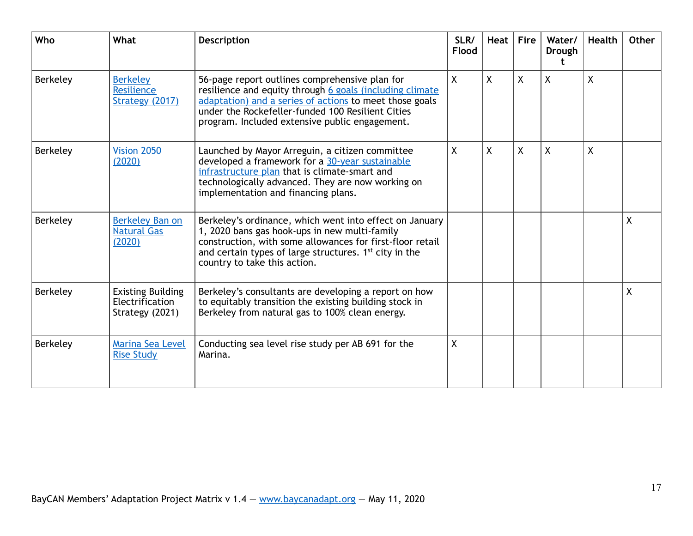| Who      | What                                                           | <b>Description</b>                                                                                                                                                                                                                                                           | SLR/<br><b>Flood</b> | Heat    | <b>Fire</b> | Water/<br>Drough | Health | <b>Other</b> |
|----------|----------------------------------------------------------------|------------------------------------------------------------------------------------------------------------------------------------------------------------------------------------------------------------------------------------------------------------------------------|----------------------|---------|-------------|------------------|--------|--------------|
| Berkeley | <b>Berkeley</b><br>Resilience<br>Strategy (2017)               | 56-page report outlines comprehensive plan for<br>resilience and equity through 6 goals (including climate<br>adaptation) and a series of actions to meet those goals<br>under the Rockefeller-funded 100 Resilient Cities<br>program. Included extensive public engagement. | X                    | $\sf X$ | $\sf X$     | $\sf X$          | X      |              |
| Berkeley | Vision 2050<br>(2020)                                          | Launched by Mayor Arreguin, a citizen committee<br>developed a framework for a 30-year sustainable<br>infrastructure plan that is climate-smart and<br>technologically advanced. They are now working on<br>implementation and financing plans.                              | χ                    | X       | $\sf X$     | χ                | X      |              |
| Berkeley | Berkeley Ban on<br><b>Natural Gas</b><br>(2020)                | Berkeley's ordinance, which went into effect on January<br>1, 2020 bans gas hook-ups in new multi-family<br>construction, with some allowances for first-floor retail<br>and certain types of large structures. 1 <sup>st</sup> city in the<br>country to take this action.  |                      |         |             |                  |        | χ            |
| Berkeley | <b>Existing Building</b><br>Electrification<br>Strategy (2021) | Berkeley's consultants are developing a report on how<br>to equitably transition the existing building stock in<br>Berkeley from natural gas to 100% clean energy.                                                                                                           |                      |         |             |                  |        | $\sf X$      |
| Berkeley | Marina Sea Level<br><b>Rise Study</b>                          | Conducting sea level rise study per AB 691 for the<br>Marina.                                                                                                                                                                                                                | χ                    |         |             |                  |        |              |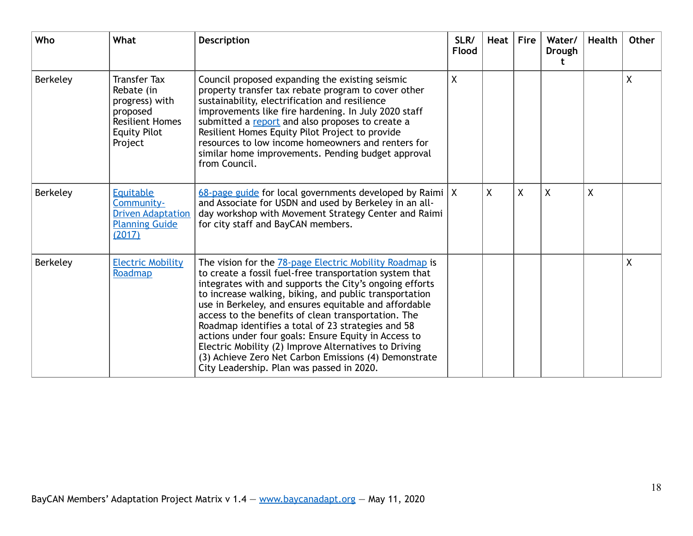| Who      | What                                                                                                                        | <b>Description</b>                                                                                                                                                                                                                                                                                                                                                                                                                                                                                                                                                                                                                   | SLR/<br><b>Flood</b> | Heat         | <b>Fire</b>  | Water/<br>Drough | <b>Health</b> | <b>Other</b> |
|----------|-----------------------------------------------------------------------------------------------------------------------------|--------------------------------------------------------------------------------------------------------------------------------------------------------------------------------------------------------------------------------------------------------------------------------------------------------------------------------------------------------------------------------------------------------------------------------------------------------------------------------------------------------------------------------------------------------------------------------------------------------------------------------------|----------------------|--------------|--------------|------------------|---------------|--------------|
| Berkeley | <b>Transfer Tax</b><br>Rebate (in<br>progress) with<br>proposed<br><b>Resilient Homes</b><br><b>Equity Pilot</b><br>Project | Council proposed expanding the existing seismic<br>property transfer tax rebate program to cover other<br>sustainability, electrification and resilience<br>improvements like fire hardening. In July 2020 staff<br>submitted a report and also proposes to create a<br>Resilient Homes Equity Pilot Project to provide<br>resources to low income homeowners and renters for<br>similar home improvements. Pending budget approval<br>from Council.                                                                                                                                                                                 | X                    |              |              |                  |               | $\mathsf{X}$ |
| Berkeley | Equitable<br>Community-<br><b>Driven Adaptation</b><br><b>Planning Guide</b><br>(2017)                                      | 68-page guide for local governments developed by Raimi $ X $<br>and Associate for USDN and used by Berkeley in an all-<br>day workshop with Movement Strategy Center and Raimi<br>for city staff and BayCAN members.                                                                                                                                                                                                                                                                                                                                                                                                                 |                      | $\mathsf{X}$ | $\mathsf{X}$ | $\sf X$          | χ             |              |
| Berkeley | <b>Electric Mobility</b><br>Roadmap                                                                                         | The vision for the 78-page Electric Mobility Roadmap is<br>to create a fossil fuel-free transportation system that<br>integrates with and supports the City's ongoing efforts<br>to increase walking, biking, and public transportation<br>use in Berkeley, and ensures equitable and affordable<br>access to the benefits of clean transportation. The<br>Roadmap identifies a total of 23 strategies and 58<br>actions under four goals: Ensure Equity in Access to<br>Electric Mobility (2) Improve Alternatives to Driving<br>(3) Achieve Zero Net Carbon Emissions (4) Demonstrate<br>City Leadership. Plan was passed in 2020. |                      |              |              |                  |               | $\sf X$      |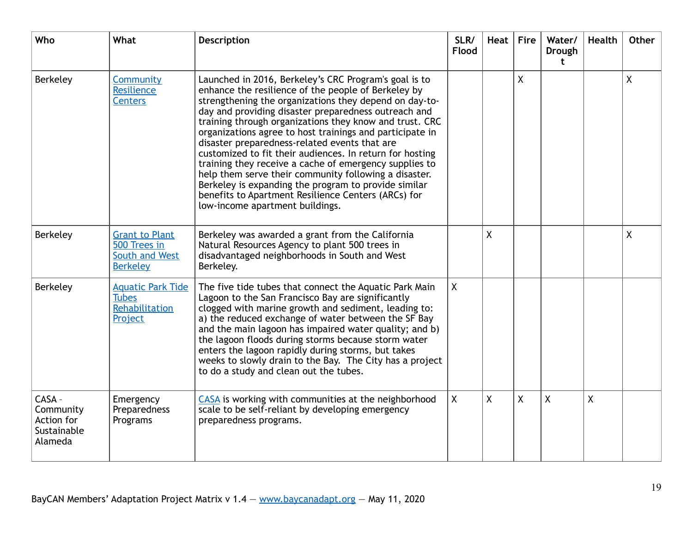| Who                                                         | What                                                                       | Description                                                                                                                                                                                                                                                                                                                                                                                                                                                                                                                                                                                                                                                                                                                             | SLR/<br><b>Flood</b> | Heat    | <b>Fire</b> | Water/<br><b>Drough</b><br>t | <b>Health</b> | <b>Other</b> |
|-------------------------------------------------------------|----------------------------------------------------------------------------|-----------------------------------------------------------------------------------------------------------------------------------------------------------------------------------------------------------------------------------------------------------------------------------------------------------------------------------------------------------------------------------------------------------------------------------------------------------------------------------------------------------------------------------------------------------------------------------------------------------------------------------------------------------------------------------------------------------------------------------------|----------------------|---------|-------------|------------------------------|---------------|--------------|
| Berkeley                                                    | Community<br>Resilience<br><b>Centers</b>                                  | Launched in 2016, Berkeley's CRC Program's goal is to<br>enhance the resilience of the people of Berkeley by<br>strengthening the organizations they depend on day-to-<br>day and providing disaster preparedness outreach and<br>training through organizations they know and trust. CRC<br>organizations agree to host trainings and participate in<br>disaster preparedness-related events that are<br>customized to fit their audiences. In return for hosting<br>training they receive a cache of emergency supplies to<br>help them serve their community following a disaster.<br>Berkeley is expanding the program to provide similar<br>benefits to Apartment Resilience Centers (ARCs) for<br>low-income apartment buildings. |                      |         | X           |                              |               | χ            |
| Berkeley                                                    | <b>Grant to Plant</b><br>500 Trees in<br>South and West<br><b>Berkeley</b> | Berkeley was awarded a grant from the California<br>Natural Resources Agency to plant 500 trees in<br>disadvantaged neighborhoods in South and West<br>Berkeley.                                                                                                                                                                                                                                                                                                                                                                                                                                                                                                                                                                        |                      | X       |             |                              |               | χ            |
| Berkeley                                                    | <b>Aquatic Park Tide</b><br><b>Tubes</b><br>Rehabilitation<br>Project      | The five tide tubes that connect the Aquatic Park Main<br>Lagoon to the San Francisco Bay are significantly<br>clogged with marine growth and sediment, leading to:<br>a) the reduced exchange of water between the SF Bay<br>and the main lagoon has impaired water quality; and b)<br>the lagoon floods during storms because storm water<br>enters the lagoon rapidly during storms, but takes<br>weeks to slowly drain to the Bay. The City has a project<br>to do a study and clean out the tubes.                                                                                                                                                                                                                                 | $\sf X$              |         |             |                              |               |              |
| CASA -<br>Community<br>Action for<br>Sustainable<br>Alameda | Emergency<br>Preparedness<br>Programs                                      | CASA is working with communities at the neighborhood<br>scale to be self-reliant by developing emergency<br>preparedness programs.                                                                                                                                                                                                                                                                                                                                                                                                                                                                                                                                                                                                      | $\mathsf{X}$         | $\sf X$ | $\sf X$     | $\sf X$                      | $\sf X$       |              |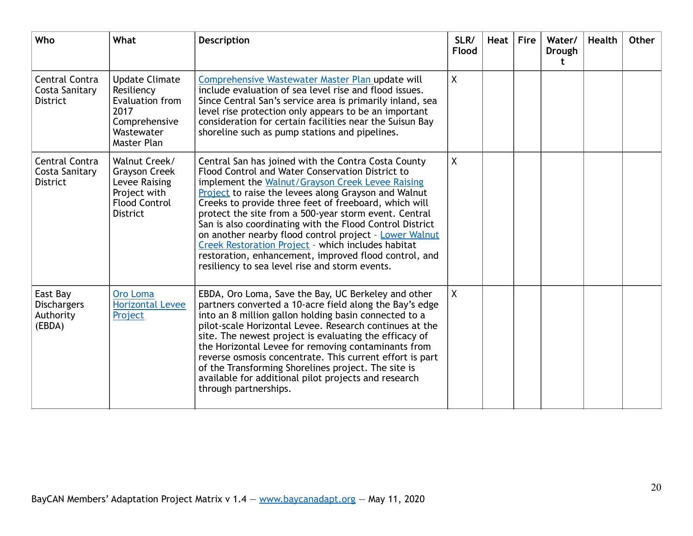| Who                                                   | What                                                                                                                | <b>Description</b>                                                                                                                                                                                                                                                                                                                                                                                                                                                                                                                                                                                                                  | SLR/<br><b>Flood</b> | Heat | <b>Fire</b> | Water/<br><b>Drough</b><br>t. | <b>Health</b> | Other |
|-------------------------------------------------------|---------------------------------------------------------------------------------------------------------------------|-------------------------------------------------------------------------------------------------------------------------------------------------------------------------------------------------------------------------------------------------------------------------------------------------------------------------------------------------------------------------------------------------------------------------------------------------------------------------------------------------------------------------------------------------------------------------------------------------------------------------------------|----------------------|------|-------------|-------------------------------|---------------|-------|
| Central Contra<br>Costa Sanitary<br><b>District</b>   | <b>Update Climate</b><br>Resiliency<br><b>Evaluation from</b><br>2017<br>Comprehensive<br>Wastewater<br>Master Plan | Comprehensive Wastewater Master Plan update will<br>include evaluation of sea level rise and flood issues.<br>Since Central San's service area is primarily inland, sea<br>level rise protection only appears to be an important<br>consideration for certain facilities near the Suisun Bay<br>shoreline such as pump stations and pipelines.                                                                                                                                                                                                                                                                                      | $\mathsf{X}$         |      |             |                               |               |       |
| Central Contra<br>Costa Sanitary<br><b>District</b>   | Walnut Creek/<br><b>Grayson Creek</b><br>Levee Raising<br>Project with<br><b>Flood Control</b><br><b>District</b>   | Central San has joined with the Contra Costa County<br>Flood Control and Water Conservation District to<br>implement the Walnut/Grayson Creek Levee Raising<br><b>Project</b> to raise the levees along Grayson and Walnut<br>Creeks to provide three feet of freeboard, which will<br>protect the site from a 500-year storm event. Central<br>San is also coordinating with the Flood Control District<br>on another nearby flood control project - Lower Walnut<br>Creek Restoration Project - which includes habitat<br>restoration, enhancement, improved flood control, and<br>resiliency to sea level rise and storm events. | $\sf X$              |      |             |                               |               |       |
| East Bay<br><b>Dischargers</b><br>Authority<br>(EBDA) | Oro Loma<br><b>Horizontal Levee</b><br>Project                                                                      | EBDA, Oro Loma, Save the Bay, UC Berkeley and other<br>partners converted a 10-acre field along the Bay's edge<br>into an 8 million gallon holding basin connected to a<br>pilot-scale Horizontal Levee. Research continues at the<br>site. The newest project is evaluating the efficacy of<br>the Horizontal Levee for removing contaminants from<br>reverse osmosis concentrate. This current effort is part<br>of the Transforming Shorelines project. The site is<br>available for additional pilot projects and research<br>through partnerships.                                                                             | $\mathsf{X}$         |      |             |                               |               |       |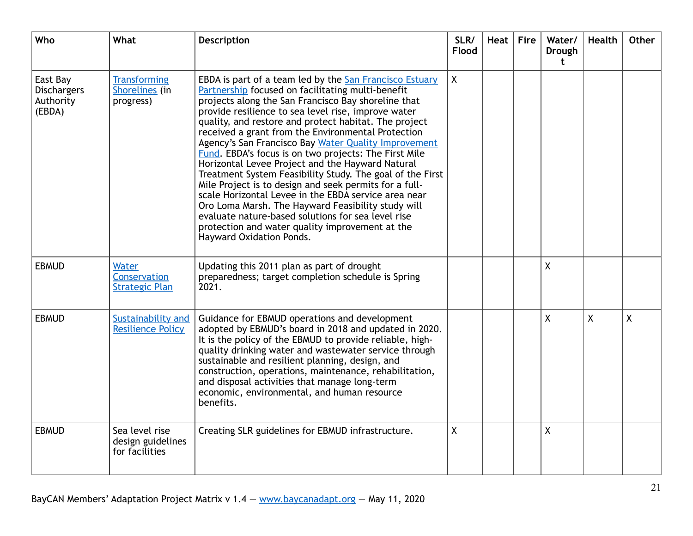| Who                                                   | What                                                  | <b>Description</b>                                                                                                                                                                                                                                                                                                                                                                                                                                                                                                                                                                                                                                                                                                                                                                                                                                                                       | SLR/<br>Flood | Heat | <b>Fire</b> | Water/<br><b>Drough</b><br>t | Health | <b>Other</b>     |
|-------------------------------------------------------|-------------------------------------------------------|------------------------------------------------------------------------------------------------------------------------------------------------------------------------------------------------------------------------------------------------------------------------------------------------------------------------------------------------------------------------------------------------------------------------------------------------------------------------------------------------------------------------------------------------------------------------------------------------------------------------------------------------------------------------------------------------------------------------------------------------------------------------------------------------------------------------------------------------------------------------------------------|---------------|------|-------------|------------------------------|--------|------------------|
| East Bay<br><b>Dischargers</b><br>Authority<br>(EBDA) | <b>Transforming</b><br>Shorelines (in<br>progress)    | EBDA is part of a team led by the San Francisco Estuary<br>Partnership focused on facilitating multi-benefit<br>projects along the San Francisco Bay shoreline that<br>provide resilience to sea level rise, improve water<br>quality, and restore and protect habitat. The project<br>received a grant from the Environmental Protection<br>Agency's San Francisco Bay Water Quality Improvement<br>Fund. EBDA's focus is on two projects: The First Mile<br>Horizontal Levee Project and the Hayward Natural<br>Treatment System Feasibility Study. The goal of the First<br>Mile Project is to design and seek permits for a full-<br>scale Horizontal Levee in the EBDA service area near<br>Oro Loma Marsh. The Hayward Feasibility study will<br>evaluate nature-based solutions for sea level rise<br>protection and water quality improvement at the<br>Hayward Oxidation Ponds. | $\mathsf{X}$  |      |             |                              |        |                  |
| <b>EBMUD</b>                                          | Water<br>Conservation<br><b>Strategic Plan</b>        | Updating this 2011 plan as part of drought<br>preparedness; target completion schedule is Spring<br>2021.                                                                                                                                                                                                                                                                                                                                                                                                                                                                                                                                                                                                                                                                                                                                                                                |               |      |             | X                            |        |                  |
| <b>EBMUD</b>                                          | Sustainability and<br><b>Resilience Policy</b>        | Guidance for EBMUD operations and development<br>adopted by EBMUD's board in 2018 and updated in 2020.<br>It is the policy of the EBMUD to provide reliable, high-<br>quality drinking water and wastewater service through<br>sustainable and resilient planning, design, and<br>construction, operations, maintenance, rehabilitation,<br>and disposal activities that manage long-term<br>economic, environmental, and human resource<br>benefits.                                                                                                                                                                                                                                                                                                                                                                                                                                    |               |      |             | $\mathsf{X}$                 | X      | $\boldsymbol{X}$ |
| <b>EBMUD</b>                                          | Sea level rise<br>design guidelines<br>for facilities | Creating SLR guidelines for EBMUD infrastructure.                                                                                                                                                                                                                                                                                                                                                                                                                                                                                                                                                                                                                                                                                                                                                                                                                                        | X             |      |             | X                            |        |                  |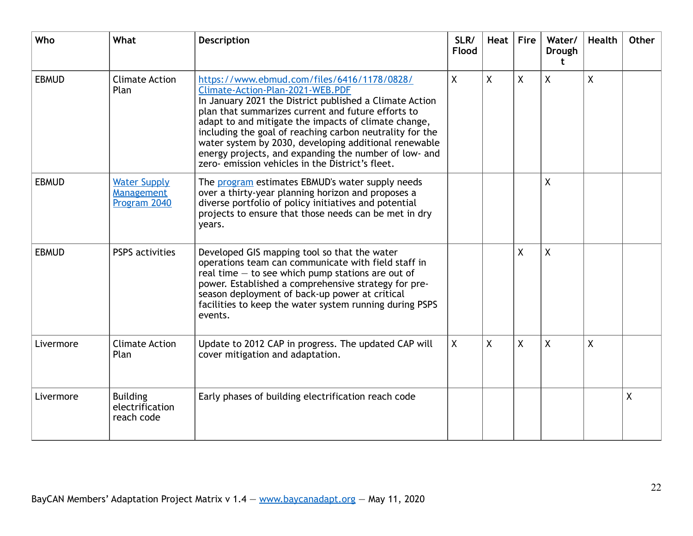| Who          | What                                              | <b>Description</b>                                                                                                                                                                                                                                                                                                                                                                                                                                                                        | SLR/<br>Flood | Heat         | <b>Fire</b>  | Water/<br>Drough<br>t. | Health       | <b>Other</b>            |
|--------------|---------------------------------------------------|-------------------------------------------------------------------------------------------------------------------------------------------------------------------------------------------------------------------------------------------------------------------------------------------------------------------------------------------------------------------------------------------------------------------------------------------------------------------------------------------|---------------|--------------|--------------|------------------------|--------------|-------------------------|
| <b>EBMUD</b> | <b>Climate Action</b><br>Plan                     | https://www.ebmud.com/files/6416/1178/0828/<br>Climate-Action-Plan-2021-WEB.PDF<br>In January 2021 the District published a Climate Action<br>plan that summarizes current and future efforts to<br>adapt to and mitigate the impacts of climate change,<br>including the goal of reaching carbon neutrality for the<br>water system by 2030, developing additional renewable<br>energy projects, and expanding the number of low- and<br>zero-emission vehicles in the District's fleet. | $\mathsf{X}$  | $\mathsf{X}$ | $\mathsf{X}$ | $\overline{X}$         | $\mathsf{X}$ |                         |
| <b>EBMUD</b> | <b>Water Supply</b><br>Management<br>Program 2040 | The program estimates EBMUD's water supply needs<br>over a thirty-year planning horizon and proposes a<br>diverse portfolio of policy initiatives and potential<br>projects to ensure that those needs can be met in dry<br>years.                                                                                                                                                                                                                                                        |               |              |              | X                      |              |                         |
| <b>EBMUD</b> | <b>PSPS</b> activities                            | Developed GIS mapping tool so that the water<br>operations team can communicate with field staff in<br>real time $-$ to see which pump stations are out of<br>power. Established a comprehensive strategy for pre-<br>season deployment of back-up power at critical<br>facilities to keep the water system running during PSPS<br>events.                                                                                                                                                |               |              | $\mathsf{X}$ | $\mathsf{X}$           |              |                         |
| Livermore    | <b>Climate Action</b><br>Plan                     | Update to 2012 CAP in progress. The updated CAP will<br>cover mitigation and adaptation.                                                                                                                                                                                                                                                                                                                                                                                                  | $\sf X$       | X            | X            | χ                      | X            |                         |
| Livermore    | <b>Building</b><br>electrification<br>reach code  | Early phases of building electrification reach code                                                                                                                                                                                                                                                                                                                                                                                                                                       |               |              |              |                        |              | $\overline{\mathsf{X}}$ |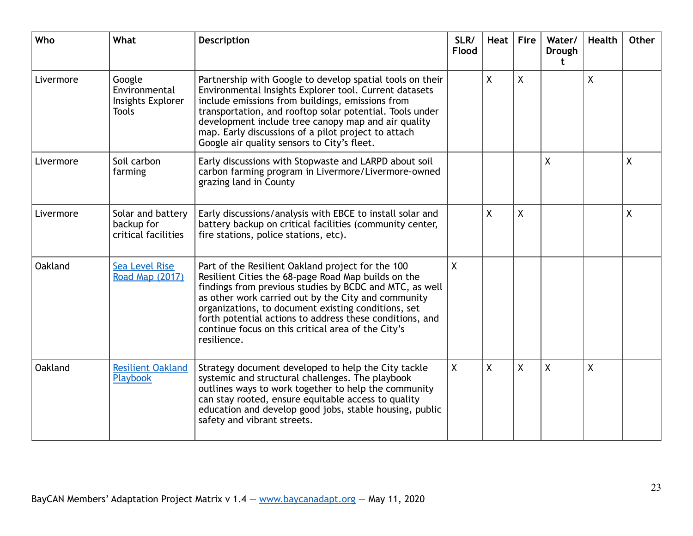| Who       | What                                                         | Description                                                                                                                                                                                                                                                                                                                                                                                                        | SLR/<br>Flood | Heat         | <b>Fire</b> | Water/<br>Drough<br>t | <b>Health</b> | Other |
|-----------|--------------------------------------------------------------|--------------------------------------------------------------------------------------------------------------------------------------------------------------------------------------------------------------------------------------------------------------------------------------------------------------------------------------------------------------------------------------------------------------------|---------------|--------------|-------------|-----------------------|---------------|-------|
| Livermore | Google<br>Environmental<br>Insights Explorer<br><b>Tools</b> | Partnership with Google to develop spatial tools on their<br>Environmental Insights Explorer tool. Current datasets<br>include emissions from buildings, emissions from<br>transportation, and rooftop solar potential. Tools under<br>development include tree canopy map and air quality<br>map. Early discussions of a pilot project to attach<br>Google air quality sensors to City's fleet.                   |               | $\mathsf{X}$ | X           |                       | X             |       |
| Livermore | Soil carbon<br>farming                                       | Early discussions with Stopwaste and LARPD about soil<br>carbon farming program in Livermore/Livermore-owned<br>grazing land in County                                                                                                                                                                                                                                                                             |               |              |             | χ                     |               | χ     |
| Livermore | Solar and battery<br>backup for<br>critical facilities       | Early discussions/analysis with EBCE to install solar and<br>battery backup on critical facilities (community center,<br>fire stations, police stations, etc).                                                                                                                                                                                                                                                     |               | $\mathsf{X}$ | X           |                       |               | X     |
| Oakland   | <b>Sea Level Rise</b><br>Road Map (2017)                     | Part of the Resilient Oakland project for the 100<br>Resilient Cities the 68-page Road Map builds on the<br>findings from previous studies by BCDC and MTC, as well<br>as other work carried out by the City and community<br>organizations, to document existing conditions, set<br>forth potential actions to address these conditions, and<br>continue focus on this critical area of the City's<br>resilience. | X             |              |             |                       |               |       |
| Oakland   | <b>Resilient Oakland</b><br>Playbook                         | Strategy document developed to help the City tackle<br>systemic and structural challenges. The playbook<br>outlines ways to work together to help the community<br>can stay rooted, ensure equitable access to quality<br>education and develop good jobs, stable housing, public<br>safety and vibrant streets.                                                                                                   | X             | X            | χ           | X                     | X             |       |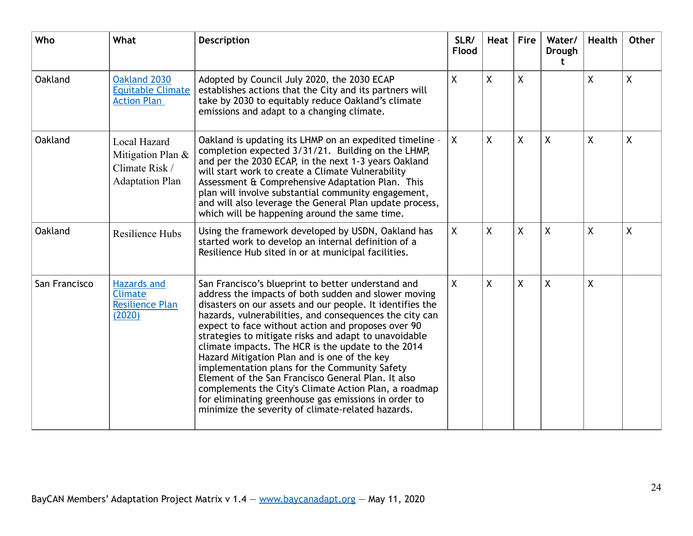| Who            | What                                                                          | <b>Description</b>                                                                                                                                                                                                                                                                                                                                                                                                                                                                                                                                                                                                                                                                                                                   | SLR/<br><b>Flood</b> | Heat         | <b>Fire</b>  | Water/<br>Drough<br>t | <b>Health</b> | Other   |
|----------------|-------------------------------------------------------------------------------|--------------------------------------------------------------------------------------------------------------------------------------------------------------------------------------------------------------------------------------------------------------------------------------------------------------------------------------------------------------------------------------------------------------------------------------------------------------------------------------------------------------------------------------------------------------------------------------------------------------------------------------------------------------------------------------------------------------------------------------|----------------------|--------------|--------------|-----------------------|---------------|---------|
| <b>Oakland</b> | Oakland 2030<br><b>Equitable Climate</b><br><b>Action Plan</b>                | Adopted by Council July 2020, the 2030 ECAP<br>establishes actions that the City and its partners will<br>take by 2030 to equitably reduce Oakland's climate<br>emissions and adapt to a changing climate.                                                                                                                                                                                                                                                                                                                                                                                                                                                                                                                           | $\sf X$              | $\mathsf{X}$ | $\mathsf{X}$ |                       | X             | $\sf X$ |
| <b>Oakland</b> | Local Hazard<br>Mitigation Plan &<br>Climate Risk /<br><b>Adaptation Plan</b> | Oakland is updating its LHMP on an expedited timeline -<br>completion expected 3/31/21. Building on the LHMP,<br>and per the 2030 ECAP, in the next 1-3 years Oakland<br>will start work to create a Climate Vulnerability<br>Assessment & Comprehensive Adaptation Plan. This<br>plan will involve substantial community engagement,<br>and will also leverage the General Plan update process,<br>which will be happening around the same time.                                                                                                                                                                                                                                                                                    | $\mathsf{X}$         | X            | X            | X                     | χ             | X       |
| <b>Oakland</b> | <b>Resilience Hubs</b>                                                        | Using the framework developed by USDN, Oakland has<br>started work to develop an internal definition of a<br>Resilience Hub sited in or at municipal facilities.                                                                                                                                                                                                                                                                                                                                                                                                                                                                                                                                                                     | $\mathsf{X}$         | X            | X            | χ                     | χ             | $\sf X$ |
| San Francisco  | <b>Hazards and</b><br><b>Climate</b><br><b>Resilience Plan</b><br>(2020)      | San Francisco's blueprint to better understand and<br>address the impacts of both sudden and slower moving<br>disasters on our assets and our people. It identifies the<br>hazards, vulnerabilities, and consequences the city can<br>expect to face without action and proposes over 90<br>strategies to mitigate risks and adapt to unavoidable<br>climate impacts. The HCR is the update to the 2014<br>Hazard Mitigation Plan and is one of the key<br>implementation plans for the Community Safety<br>Element of the San Francisco General Plan. It also<br>complements the City's Climate Action Plan, a roadmap<br>for eliminating greenhouse gas emissions in order to<br>minimize the severity of climate-related hazards. | $\mathsf{X}$         | X            | X            | X                     | χ             |         |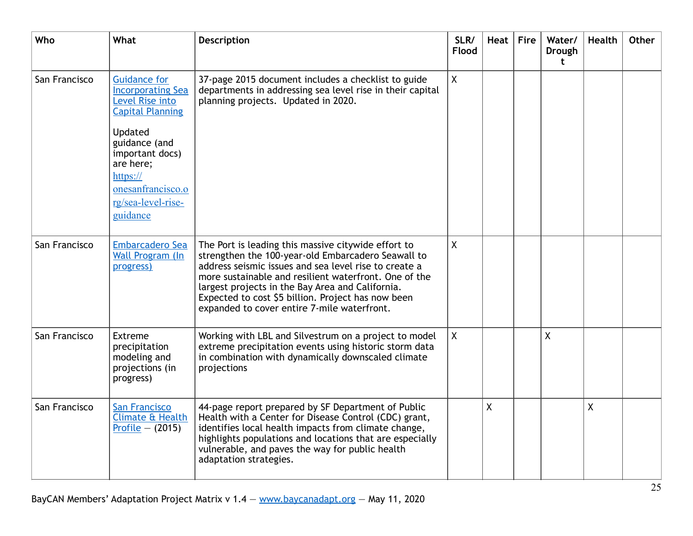| Who           | What                                                                                                            | <b>Description</b>                                                                                                                                                                                                                                                                                                                                                                   | SLR/<br><b>Flood</b> | Heat | <b>Fire</b> | Water/<br><b>Drough</b><br>t | Health  | Other |
|---------------|-----------------------------------------------------------------------------------------------------------------|--------------------------------------------------------------------------------------------------------------------------------------------------------------------------------------------------------------------------------------------------------------------------------------------------------------------------------------------------------------------------------------|----------------------|------|-------------|------------------------------|---------|-------|
| San Francisco | <b>Guidance for</b><br><b>Incorporating Sea</b><br>Level Rise into<br><b>Capital Planning</b><br><b>Updated</b> | 37-page 2015 document includes a checklist to guide<br>departments in addressing sea level rise in their capital<br>planning projects. Updated in 2020.                                                                                                                                                                                                                              | $\mathsf{X}$         |      |             |                              |         |       |
|               | guidance (and<br>important docs)<br>are here;<br>https://                                                       |                                                                                                                                                                                                                                                                                                                                                                                      |                      |      |             |                              |         |       |
|               | onesanfrancisco.o<br>rg/sea-level-rise-<br>guidance                                                             |                                                                                                                                                                                                                                                                                                                                                                                      |                      |      |             |                              |         |       |
| San Francisco | <b>Embarcadero Sea</b><br><b>Wall Program (In</b><br>progress)                                                  | The Port is leading this massive citywide effort to<br>strengthen the 100-year-old Embarcadero Seawall to<br>address seismic issues and sea level rise to create a<br>more sustainable and resilient waterfront. One of the<br>largest projects in the Bay Area and California.<br>Expected to cost \$5 billion. Project has now been<br>expanded to cover entire 7-mile waterfront. | $\boldsymbol{X}$     |      |             |                              |         |       |
| San Francisco | <b>Extreme</b><br>precipitation<br>modeling and<br>projections (in<br>progress)                                 | Working with LBL and Silvestrum on a project to model<br>extreme precipitation events using historic storm data<br>in combination with dynamically downscaled climate<br>projections                                                                                                                                                                                                 | $\mathsf{X}$         |      |             | $\overline{\mathsf{X}}$      |         |       |
| San Francisco | <b>San Francisco</b><br><b>Climate &amp; Health</b><br>Profile $-$ (2015)                                       | 44-page report prepared by SF Department of Public<br>Health with a Center for Disease Control (CDC) grant,<br>identifies local health impacts from climate change,<br>highlights populations and locations that are especially<br>vulnerable, and paves the way for public health<br>adaptation strategies.                                                                         |                      | X    |             |                              | $\sf X$ |       |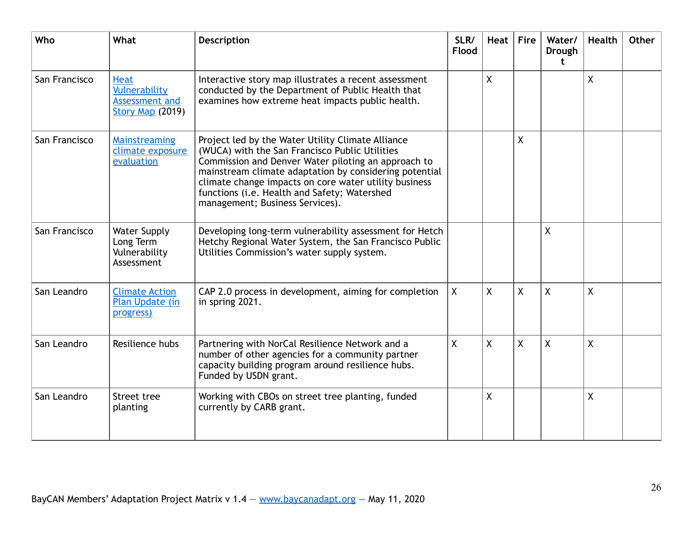| Who           | What                                                                      | Description                                                                                                                                                                                                                                                                                                                                                      | SLR/<br>Flood | Heat               | <b>Fire</b> | Water/<br><b>Drough</b><br>t | <b>Health</b>      | <b>Other</b> |
|---------------|---------------------------------------------------------------------------|------------------------------------------------------------------------------------------------------------------------------------------------------------------------------------------------------------------------------------------------------------------------------------------------------------------------------------------------------------------|---------------|--------------------|-------------|------------------------------|--------------------|--------------|
| San Francisco | <b>Heat</b><br>Vulnerability<br><b>Assessment and</b><br>Story Map (2019) | Interactive story map illustrates a recent assessment<br>conducted by the Department of Public Health that<br>examines how extreme heat impacts public health.                                                                                                                                                                                                   |               | $\pmb{\mathsf{X}}$ |             |                              | $\pmb{\mathsf{X}}$ |              |
| San Francisco | <b>Mainstreaming</b><br>climate exposure<br>evaluation                    | Project led by the Water Utility Climate Alliance<br>(WUCA) with the San Francisco Public Utilities<br>Commission and Denver Water piloting an approach to<br>mainstream climate adaptation by considering potential<br>climate change impacts on core water utility business<br>functions (i.e. Health and Safety; Watershed<br>management; Business Services). |               |                    | $\sf X$     |                              |                    |              |
| San Francisco | <b>Water Supply</b><br>Long Term<br>Vulnerability<br>Assessment           | Developing long-term vulnerability assessment for Hetch<br>Hetchy Regional Water System, the San Francisco Public<br>Utilities Commission's water supply system.                                                                                                                                                                                                 |               |                    |             | $\mathsf{X}$                 |                    |              |
| San Leandro   | <b>Climate Action</b><br>Plan Update (in<br>progress)                     | CAP 2.0 process in development, aiming for completion<br>in spring 2021.                                                                                                                                                                                                                                                                                         | $\sf X$       | $\mathsf{X}$       | X           | X                            | X                  |              |
| San Leandro   | Resilience hubs                                                           | Partnering with NorCal Resilience Network and a<br>number of other agencies for a community partner<br>capacity building program around resilience hubs.<br>Funded by USDN grant.                                                                                                                                                                                | X             | $\mathsf{X}$       | $\sf X$     | X                            | $\sf X$            |              |
| San Leandro   | Street tree<br>planting                                                   | Working with CBOs on street tree planting, funded<br>currently by CARB grant.                                                                                                                                                                                                                                                                                    |               | $\sf X$            |             |                              | $\sf X$            |              |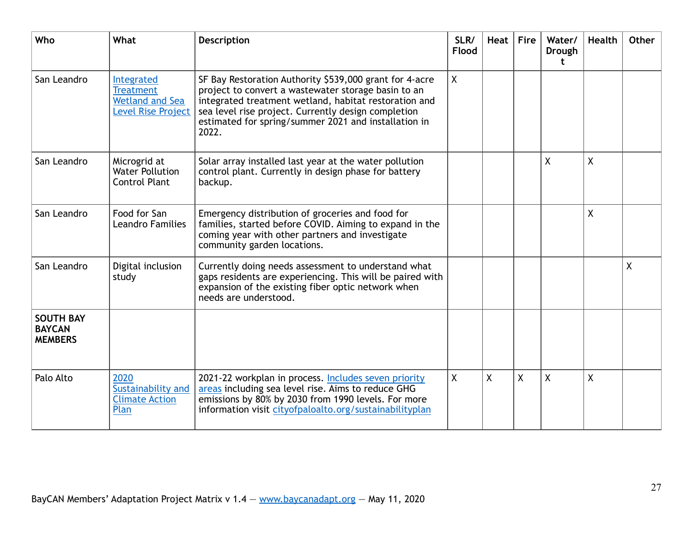| Who                                                 | What                                                                                  | <b>Description</b>                                                                                                                                                                                                                                                                              | SLR/<br>Flood | Heat    | Fire           | Water/<br>Drough<br>t | <b>Health</b> | <b>Other</b> |
|-----------------------------------------------------|---------------------------------------------------------------------------------------|-------------------------------------------------------------------------------------------------------------------------------------------------------------------------------------------------------------------------------------------------------------------------------------------------|---------------|---------|----------------|-----------------------|---------------|--------------|
| San Leandro                                         | Integrated<br><b>Treatment</b><br><b>Wetland and Sea</b><br><b>Level Rise Project</b> | SF Bay Restoration Authority \$539,000 grant for 4-acre<br>project to convert a wastewater storage basin to an<br>integrated treatment wetland, habitat restoration and<br>sea level rise project. Currently design completion<br>estimated for spring/summer 2021 and installation in<br>2022. | $\mathsf{X}$  |         |                |                       |               |              |
| San Leandro                                         | Microgrid at<br><b>Water Pollution</b><br><b>Control Plant</b>                        | Solar array installed last year at the water pollution<br>control plant. Currently in design phase for battery<br>backup.                                                                                                                                                                       |               |         |                | χ                     | χ             |              |
| San Leandro                                         | Food for San<br><b>Leandro Families</b>                                               | Emergency distribution of groceries and food for<br>families, started before COVID. Aiming to expand in the<br>coming year with other partners and investigate<br>community garden locations.                                                                                                   |               |         |                |                       | $\sf X$       |              |
| San Leandro                                         | Digital inclusion<br>study                                                            | Currently doing needs assessment to understand what<br>gaps residents are experiencing. This will be paired with<br>expansion of the existing fiber optic network when<br>needs are understood.                                                                                                 |               |         |                |                       |               | $\sf X$      |
| <b>SOUTH BAY</b><br><b>BAYCAN</b><br><b>MEMBERS</b> |                                                                                       |                                                                                                                                                                                                                                                                                                 |               |         |                |                       |               |              |
| Palo Alto                                           | 2020<br>Sustainability and<br><b>Climate Action</b><br>Plan                           | 2021-22 workplan in process. Includes seven priority<br>areas including sea level rise. Aims to reduce GHG<br>emissions by 80% by 2030 from 1990 levels. For more<br>information visit cityofpaloalto.org/sustainabilityplan                                                                    | X             | $\sf X$ | $\overline{X}$ | $\mathsf{X}$          | $\sf X$       |              |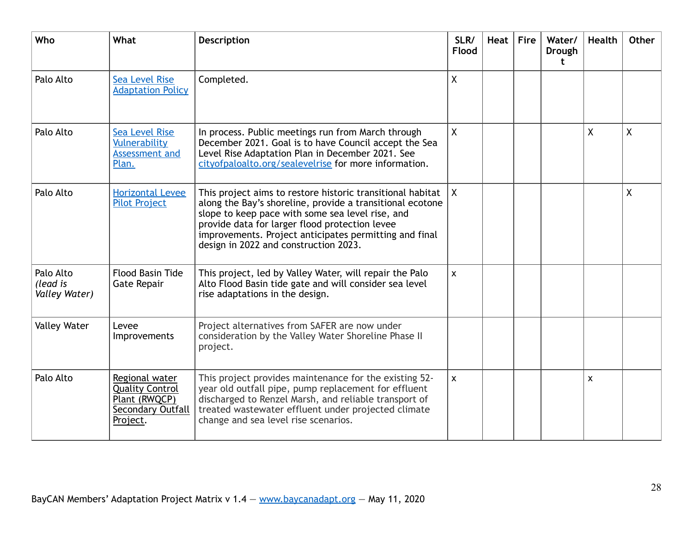| Who                                    | What                                                                                       | <b>Description</b>                                                                                                                                                                                                                                                                                                               | SLR/<br>Flood             | Heat | <b>Fire</b> | Water/<br>Drough<br>t | <b>Health</b> | <b>Other</b> |
|----------------------------------------|--------------------------------------------------------------------------------------------|----------------------------------------------------------------------------------------------------------------------------------------------------------------------------------------------------------------------------------------------------------------------------------------------------------------------------------|---------------------------|------|-------------|-----------------------|---------------|--------------|
| Palo Alto                              | <b>Sea Level Rise</b><br><b>Adaptation Policy</b>                                          | Completed.                                                                                                                                                                                                                                                                                                                       | X                         |      |             |                       |               |              |
| Palo Alto                              | <b>Sea Level Rise</b><br>Vulnerability<br>Assessment and<br>Plan.                          | In process. Public meetings run from March through<br>December 2021. Goal is to have Council accept the Sea<br>Level Rise Adaptation Plan in December 2021. See<br>cityofpaloalto.org/sealevelrise for more information.                                                                                                         | X                         |      |             |                       | χ             | $\mathsf{X}$ |
| Palo Alto                              | <b>Horizontal Levee</b><br><b>Pilot Project</b>                                            | This project aims to restore historic transitional habitat<br>along the Bay's shoreline, provide a transitional ecotone<br>slope to keep pace with some sea level rise, and<br>provide data for larger flood protection levee<br>improvements. Project anticipates permitting and final<br>design in 2022 and construction 2023. | $\sf X$                   |      |             |                       |               | $\mathsf{X}$ |
| Palo Alto<br>(lead is<br>Valley Water) | <b>Flood Basin Tide</b><br>Gate Repair                                                     | This project, led by Valley Water, will repair the Palo<br>Alto Flood Basin tide gate and will consider sea level<br>rise adaptations in the design.                                                                                                                                                                             | $\boldsymbol{\mathsf{x}}$ |      |             |                       |               |              |
| <b>Valley Water</b>                    | Levee<br>Improvements                                                                      | Project alternatives from SAFER are now under<br>consideration by the Valley Water Shoreline Phase II<br>project.                                                                                                                                                                                                                |                           |      |             |                       |               |              |
| Palo Alto                              | Regional water<br><b>Quality Control</b><br>Plant (RWQCP)<br>Secondary Outfall<br>Project. | This project provides maintenance for the existing 52-<br>year old outfall pipe, pump replacement for effluent<br>discharged to Renzel Marsh, and reliable transport of<br>treated wastewater effluent under projected climate<br>change and sea level rise scenarios.                                                           | X                         |      |             |                       | X             |              |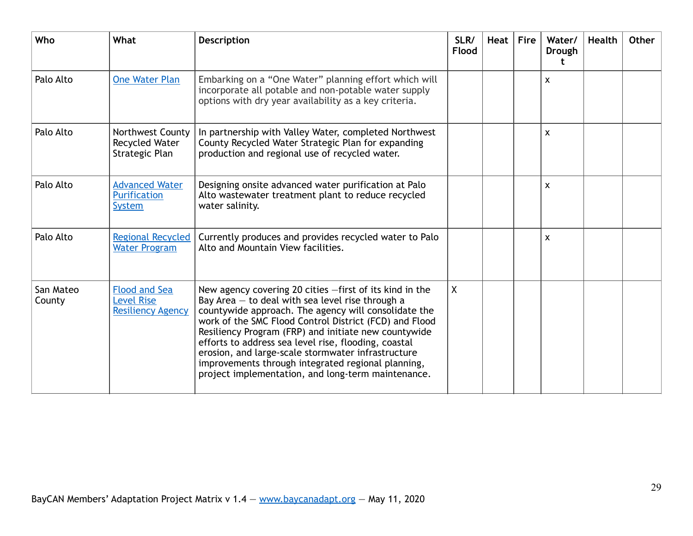| Who                 | What                                                                  | <b>Description</b>                                                                                                                                                                                                                                                                                                                                                                                                                                                                                                | SLR/<br><b>Flood</b> | Heat | <b>Fire</b> | Water/<br>Drough | <b>Health</b> | Other |
|---------------------|-----------------------------------------------------------------------|-------------------------------------------------------------------------------------------------------------------------------------------------------------------------------------------------------------------------------------------------------------------------------------------------------------------------------------------------------------------------------------------------------------------------------------------------------------------------------------------------------------------|----------------------|------|-------------|------------------|---------------|-------|
| Palo Alto           | <b>One Water Plan</b>                                                 | Embarking on a "One Water" planning effort which will<br>incorporate all potable and non-potable water supply<br>options with dry year availability as a key criteria.                                                                                                                                                                                                                                                                                                                                            |                      |      |             | $\mathsf{x}$     |               |       |
| Palo Alto           | Northwest County<br>Recycled Water<br>Strategic Plan                  | In partnership with Valley Water, completed Northwest<br>County Recycled Water Strategic Plan for expanding<br>production and regional use of recycled water.                                                                                                                                                                                                                                                                                                                                                     |                      |      |             | $\mathsf{x}$     |               |       |
| Palo Alto           | <b>Advanced Water</b><br><b>Purification</b><br>System                | Designing onsite advanced water purification at Palo<br>Alto wastewater treatment plant to reduce recycled<br>water salinity.                                                                                                                                                                                                                                                                                                                                                                                     |                      |      |             | X                |               |       |
| Palo Alto           | <b>Regional Recycled</b><br><b>Water Program</b>                      | Currently produces and provides recycled water to Palo<br>Alto and Mountain View facilities.                                                                                                                                                                                                                                                                                                                                                                                                                      |                      |      |             | $\mathsf{x}$     |               |       |
| San Mateo<br>County | <b>Flood and Sea</b><br><b>Level Rise</b><br><b>Resiliency Agency</b> | New agency covering 20 cities -first of its kind in the<br>Bay Area $-$ to deal with sea level rise through a<br>countywide approach. The agency will consolidate the<br>work of the SMC Flood Control District (FCD) and Flood<br>Resiliency Program (FRP) and initiate new countywide<br>efforts to address sea level rise, flooding, coastal<br>erosion, and large-scale stormwater infrastructure<br>improvements through integrated regional planning,<br>project implementation, and long-term maintenance. | X                    |      |             |                  |               |       |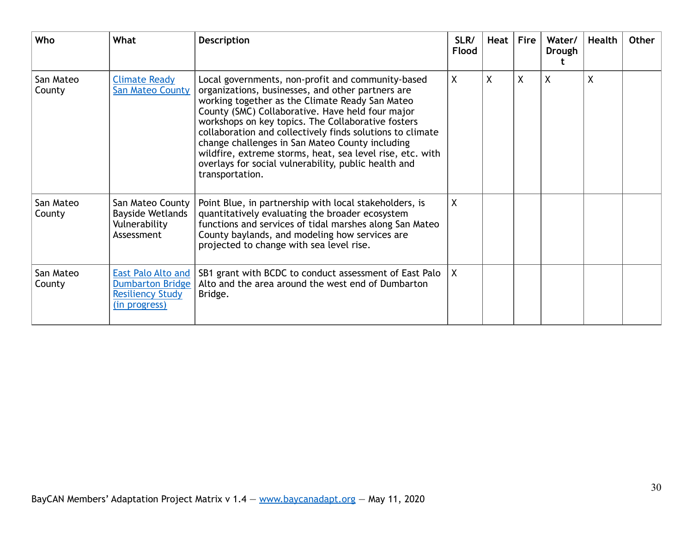| Who                 | <b>What</b>                                                                               | <b>Description</b>                                                                                                                                                                                                                                                                                                                                                                                                                                                                                                          | SLR/<br><b>Flood</b> | Heat | <b>Fire</b>  | Water/<br>Drough | <b>Health</b> | Other |
|---------------------|-------------------------------------------------------------------------------------------|-----------------------------------------------------------------------------------------------------------------------------------------------------------------------------------------------------------------------------------------------------------------------------------------------------------------------------------------------------------------------------------------------------------------------------------------------------------------------------------------------------------------------------|----------------------|------|--------------|------------------|---------------|-------|
| San Mateo<br>County | <b>Climate Ready</b><br><b>San Mateo County</b>                                           | Local governments, non-profit and community-based<br>organizations, businesses, and other partners are<br>working together as the Climate Ready San Mateo<br>County (SMC) Collaborative. Have held four major<br>workshops on key topics. The Collaborative fosters<br>collaboration and collectively finds solutions to climate<br>change challenges in San Mateo County including<br>wildfire, extreme storms, heat, sea level rise, etc. with<br>overlays for social vulnerability, public health and<br>transportation. | $\sf X$              | X    | $\mathsf{X}$ | $\sf X$          | $\sf X$       |       |
| San Mateo<br>County | San Mateo County<br><b>Bayside Wetlands</b><br>Vulnerability<br>Assessment                | Point Blue, in partnership with local stakeholders, is<br>quantitatively evaluating the broader ecosystem<br>functions and services of tidal marshes along San Mateo<br>County baylands, and modeling how services are<br>projected to change with sea level rise.                                                                                                                                                                                                                                                          | $\boldsymbol{X}$     |      |              |                  |               |       |
| San Mateo<br>County | East Palo Alto and<br><b>Dumbarton Bridge</b><br><b>Resiliency Study</b><br>(in progress) | SB1 grant with BCDC to conduct assessment of East Palo<br>Alto and the area around the west end of Dumbarton<br>Bridge.                                                                                                                                                                                                                                                                                                                                                                                                     | $\mathsf{X}$         |      |              |                  |               |       |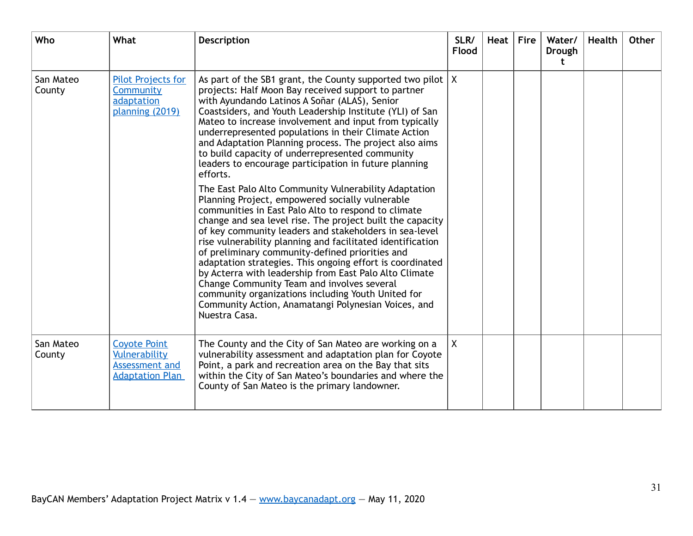| Who                 | What                                                                                    | <b>Description</b>                                                                                                                                                                                                                                                                                                                                                                                                                                                                                                                                                                                                                                                                                         | SLR/<br>Flood | Heat | <b>Fire</b> | Water/<br>Drough<br>t | <b>Health</b> | <b>Other</b> |
|---------------------|-----------------------------------------------------------------------------------------|------------------------------------------------------------------------------------------------------------------------------------------------------------------------------------------------------------------------------------------------------------------------------------------------------------------------------------------------------------------------------------------------------------------------------------------------------------------------------------------------------------------------------------------------------------------------------------------------------------------------------------------------------------------------------------------------------------|---------------|------|-------------|-----------------------|---------------|--------------|
| San Mateo<br>County | <b>Pilot Projects for</b><br>Community<br>adaptation<br>planning (2019)                 | As part of the SB1 grant, the County supported two pilot $ X $<br>projects: Half Moon Bay received support to partner<br>with Ayundando Latinos A Soñar (ALAS), Senior<br>Coastsiders, and Youth Leadership Institute (YLI) of San<br>Mateo to increase involvement and input from typically<br>underrepresented populations in their Climate Action<br>and Adaptation Planning process. The project also aims<br>to build capacity of underrepresented community<br>leaders to encourage participation in future planning<br>efforts.                                                                                                                                                                     |               |      |             |                       |               |              |
|                     |                                                                                         | The East Palo Alto Community Vulnerability Adaptation<br>Planning Project, empowered socially vulnerable<br>communities in East Palo Alto to respond to climate<br>change and sea level rise. The project built the capacity<br>of key community leaders and stakeholders in sea-level<br>rise vulnerability planning and facilitated identification<br>of preliminary community-defined priorities and<br>adaptation strategies. This ongoing effort is coordinated<br>by Acterra with leadership from East Palo Alto Climate<br>Change Community Team and involves several<br>community organizations including Youth United for<br>Community Action, Anamatangi Polynesian Voices, and<br>Nuestra Casa. |               |      |             |                       |               |              |
| San Mateo<br>County | <b>Coyote Point</b><br>Vulnerability<br><b>Assessment and</b><br><b>Adaptation Plan</b> | The County and the City of San Mateo are working on a<br>vulnerability assessment and adaptation plan for Coyote<br>Point, a park and recreation area on the Bay that sits<br>within the City of San Mateo's boundaries and where the<br>County of San Mateo is the primary landowner.                                                                                                                                                                                                                                                                                                                                                                                                                     | X             |      |             |                       |               |              |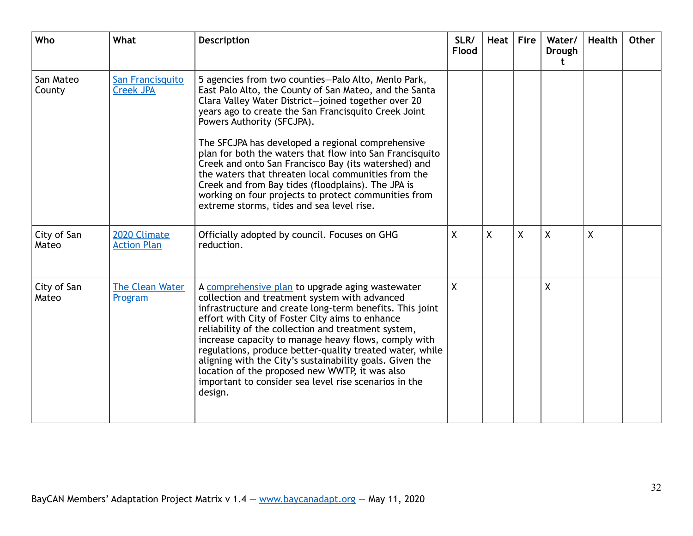| Who                  | What                                 | <b>Description</b>                                                                                                                                                                                                                                                                                                                                                                                                                                                                                                                                                                                                                                    | SLR/<br><b>Flood</b> | Heat | <b>Fire</b>  | Water/<br><b>Drough</b><br>t | <b>Health</b> | Other |
|----------------------|--------------------------------------|-------------------------------------------------------------------------------------------------------------------------------------------------------------------------------------------------------------------------------------------------------------------------------------------------------------------------------------------------------------------------------------------------------------------------------------------------------------------------------------------------------------------------------------------------------------------------------------------------------------------------------------------------------|----------------------|------|--------------|------------------------------|---------------|-------|
| San Mateo<br>County  | San Francisquito<br><b>Creek JPA</b> | 5 agencies from two counties-Palo Alto, Menlo Park,<br>East Palo Alto, the County of San Mateo, and the Santa<br>Clara Valley Water District-joined together over 20<br>years ago to create the San Francisquito Creek Joint<br>Powers Authority (SFCJPA).<br>The SFCJPA has developed a regional comprehensive<br>plan for both the waters that flow into San Francisquito<br>Creek and onto San Francisco Bay (its watershed) and<br>the waters that threaten local communities from the<br>Creek and from Bay tides (floodplains). The JPA is<br>working on four projects to protect communities from<br>extreme storms, tides and sea level rise. |                      |      |              |                              |               |       |
| City of San<br>Mateo | 2020 Climate<br><b>Action Plan</b>   | Officially adopted by council. Focuses on GHG<br>reduction.                                                                                                                                                                                                                                                                                                                                                                                                                                                                                                                                                                                           | $\mathsf{X}$         | X    | $\mathsf{X}$ | $\mathsf{X}$                 | X             |       |
| City of San<br>Mateo | <b>The Clean Water</b><br>Program    | A comprehensive plan to upgrade aging wastewater<br>collection and treatment system with advanced<br>infrastructure and create long-term benefits. This joint<br>effort with City of Foster City aims to enhance<br>reliability of the collection and treatment system,<br>increase capacity to manage heavy flows, comply with<br>regulations, produce better-quality treated water, while<br>aligning with the City's sustainability goals. Given the<br>location of the proposed new WWTP, it was also<br>important to consider sea level rise scenarios in the<br>design.                                                                         | $\mathsf{X}$         |      |              | $\mathsf{X}$                 |               |       |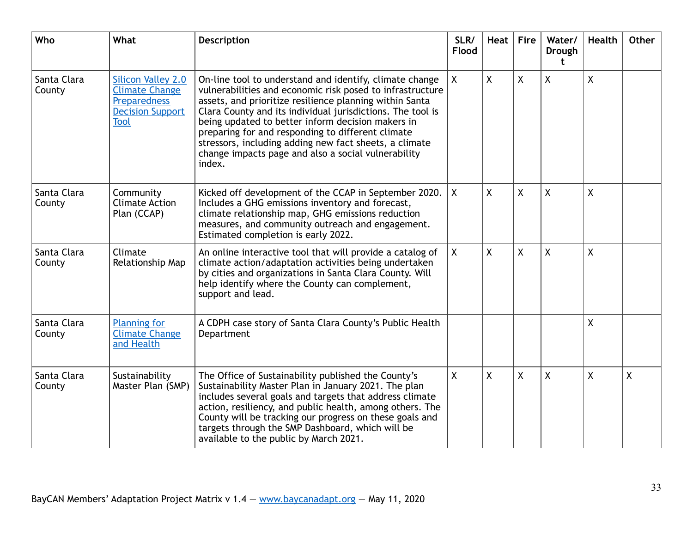| Who                   | What                                                                                                                | <b>Description</b>                                                                                                                                                                                                                                                                                                                                                                                                                                                                 | SLR/<br>Flood | Heat               | <b>Fire</b>  | Water/<br><b>Drough</b><br>t | <b>Health</b> | <b>Other</b>       |
|-----------------------|---------------------------------------------------------------------------------------------------------------------|------------------------------------------------------------------------------------------------------------------------------------------------------------------------------------------------------------------------------------------------------------------------------------------------------------------------------------------------------------------------------------------------------------------------------------------------------------------------------------|---------------|--------------------|--------------|------------------------------|---------------|--------------------|
| Santa Clara<br>County | <b>Silicon Valley 2.0</b><br><b>Climate Change</b><br><b>Preparedness</b><br><b>Decision Support</b><br><b>Tool</b> | On-line tool to understand and identify, climate change<br>vulnerabilities and economic risk posed to infrastructure<br>assets, and prioritize resilience planning within Santa<br>Clara County and its individual jurisdictions. The tool is<br>being updated to better inform decision makers in<br>preparing for and responding to different climate<br>stressors, including adding new fact sheets, a climate<br>change impacts page and also a social vulnerability<br>index. | $\mathsf{X}$  | $\sf X$            | X            | $\sf X$                      | $\sf X$       |                    |
| Santa Clara<br>County | Community<br><b>Climate Action</b><br>Plan (CCAP)                                                                   | Kicked off development of the CCAP in September 2020.<br>Includes a GHG emissions inventory and forecast,<br>climate relationship map, GHG emissions reduction<br>measures, and community outreach and engagement.<br>Estimated completion is early 2022.                                                                                                                                                                                                                          | $\mathsf{X}$  | $\sf X$            | $\mathsf{X}$ | $\sf X$                      | $\sf X$       |                    |
| Santa Clara<br>County | Climate<br>Relationship Map                                                                                         | An online interactive tool that will provide a catalog of<br>climate action/adaptation activities being undertaken<br>by cities and organizations in Santa Clara County. Will<br>help identify where the County can complement,<br>support and lead.                                                                                                                                                                                                                               | $\mathsf{X}$  | X                  | $\sf X$      | $\sf X$                      | χ             |                    |
| Santa Clara<br>County | Planning for<br><b>Climate Change</b><br>and Health                                                                 | A CDPH case story of Santa Clara County's Public Health<br>Department                                                                                                                                                                                                                                                                                                                                                                                                              |               |                    |              |                              | χ             |                    |
| Santa Clara<br>County | Sustainability<br>Master Plan (SMP)                                                                                 | The Office of Sustainability published the County's<br>Sustainability Master Plan in January 2021. The plan<br>includes several goals and targets that address climate<br>action, resiliency, and public health, among others. The<br>County will be tracking our progress on these goals and<br>targets through the SMP Dashboard, which will be<br>available to the public by March 2021.                                                                                        | $\mathsf{X}$  | $\mathsf{X}% _{0}$ | $\sf X$      | $\sf X$                      | $\sf X$       | $\pmb{\mathsf{X}}$ |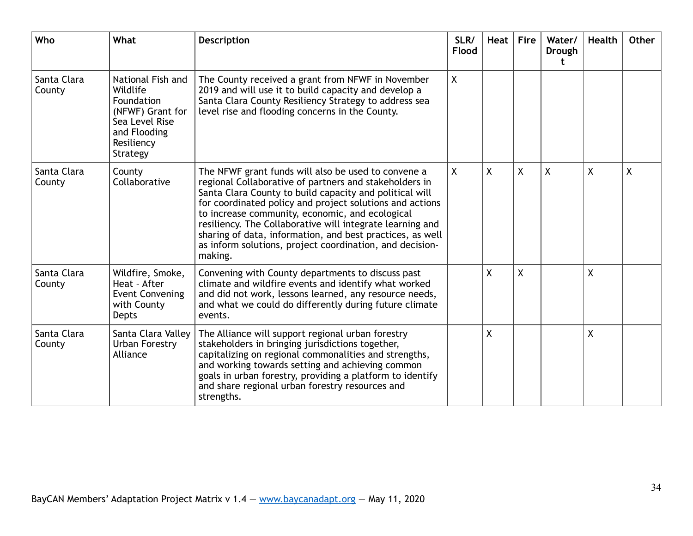| Who                   | What                                                                                                                        | <b>Description</b>                                                                                                                                                                                                                                                                                                                                                                                                                                                                       | SLR/<br>Flood | Heat    | <b>Fire</b> | Water/<br>Drough<br>t. | <b>Health</b> | Other |
|-----------------------|-----------------------------------------------------------------------------------------------------------------------------|------------------------------------------------------------------------------------------------------------------------------------------------------------------------------------------------------------------------------------------------------------------------------------------------------------------------------------------------------------------------------------------------------------------------------------------------------------------------------------------|---------------|---------|-------------|------------------------|---------------|-------|
| Santa Clara<br>County | National Fish and<br>Wildlife<br>Foundation<br>(NFWF) Grant for<br>Sea Level Rise<br>and Flooding<br>Resiliency<br>Strategy | The County received a grant from NFWF in November<br>2019 and will use it to build capacity and develop a<br>Santa Clara County Resiliency Strategy to address sea<br>level rise and flooding concerns in the County.                                                                                                                                                                                                                                                                    | $\sf X$       |         |             |                        |               |       |
| Santa Clara<br>County | County<br>Collaborative                                                                                                     | The NFWF grant funds will also be used to convene a<br>regional Collaborative of partners and stakeholders in<br>Santa Clara County to build capacity and political will<br>for coordinated policy and project solutions and actions<br>to increase community, economic, and ecological<br>resiliency. The Collaborative will integrate learning and<br>sharing of data, information, and best practices, as well<br>as inform solutions, project coordination, and decision-<br>making. | X             | X       | X           | χ                      | X             | X     |
| Santa Clara<br>County | Wildfire, Smoke,<br>Heat - After<br><b>Event Convening</b><br>with County<br>Depts                                          | Convening with County departments to discuss past<br>climate and wildfire events and identify what worked<br>and did not work, lessons learned, any resource needs,<br>and what we could do differently during future climate<br>events.                                                                                                                                                                                                                                                 |               | X       | χ           |                        | χ             |       |
| Santa Clara<br>County | Santa Clara Valley<br>Urban Forestry<br>Alliance                                                                            | The Alliance will support regional urban forestry<br>stakeholders in bringing jurisdictions together,<br>capitalizing on regional commonalities and strengths,<br>and working towards setting and achieving common<br>goals in urban forestry, providing a platform to identify<br>and share regional urban forestry resources and<br>strengths.                                                                                                                                         |               | $\sf X$ |             |                        | χ             |       |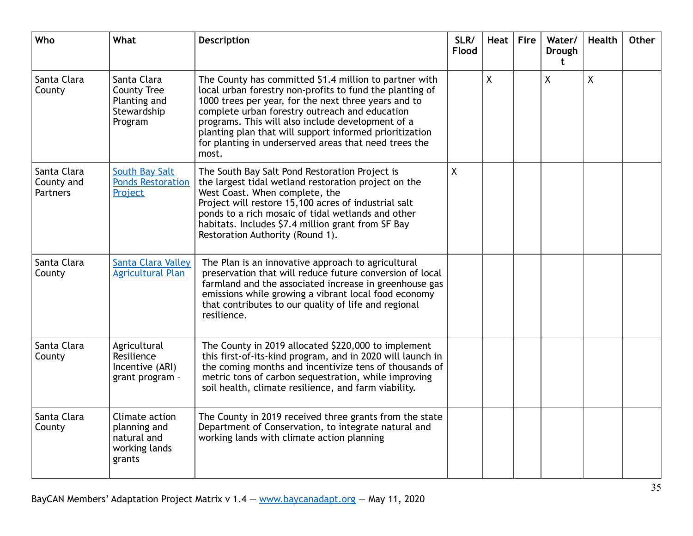| Who                                          | What                                                                        | Description                                                                                                                                                                                                                                                                                                                                                                                                    | SLR/<br><b>Flood</b> | Heat         | <b>Fire</b> | Water/<br>Drough<br>t | <b>Health</b> | Other |
|----------------------------------------------|-----------------------------------------------------------------------------|----------------------------------------------------------------------------------------------------------------------------------------------------------------------------------------------------------------------------------------------------------------------------------------------------------------------------------------------------------------------------------------------------------------|----------------------|--------------|-------------|-----------------------|---------------|-------|
| Santa Clara<br>County                        | Santa Clara<br><b>County Tree</b><br>Planting and<br>Stewardship<br>Program | The County has committed \$1.4 million to partner with<br>local urban forestry non-profits to fund the planting of<br>1000 trees per year, for the next three years and to<br>complete urban forestry outreach and education<br>programs. This will also include development of a<br>planting plan that will support informed prioritization<br>for planting in underserved areas that need trees the<br>most. |                      | $\mathsf{X}$ |             | X                     | X             |       |
| Santa Clara<br>County and<br><b>Partners</b> | <b>South Bay Salt</b><br><b>Ponds Restoration</b><br>Project                | The South Bay Salt Pond Restoration Project is<br>the largest tidal wetland restoration project on the<br>West Coast. When complete, the<br>Project will restore 15,100 acres of industrial salt<br>ponds to a rich mosaic of tidal wetlands and other<br>habitats. Includes \$7.4 million grant from SF Bay<br>Restoration Authority (Round 1).                                                               | χ                    |              |             |                       |               |       |
| Santa Clara<br>County                        | <b>Santa Clara Valley</b><br><b>Agricultural Plan</b>                       | The Plan is an innovative approach to agricultural<br>preservation that will reduce future conversion of local<br>farmland and the associated increase in greenhouse gas<br>emissions while growing a vibrant local food economy<br>that contributes to our quality of life and regional<br>resilience.                                                                                                        |                      |              |             |                       |               |       |
| Santa Clara<br>County                        | Agricultural<br>Resilience<br>Incentive (ARI)<br>grant program -            | The County in 2019 allocated \$220,000 to implement<br>this first-of-its-kind program, and in 2020 will launch in<br>the coming months and incentivize tens of thousands of<br>metric tons of carbon sequestration, while improving<br>soil health, climate resilience, and farm viability.                                                                                                                    |                      |              |             |                       |               |       |
| Santa Clara<br>County                        | Climate action<br>planning and<br>natural and<br>working lands<br>grants    | The County in 2019 received three grants from the state<br>Department of Conservation, to integrate natural and<br>working lands with climate action planning                                                                                                                                                                                                                                                  |                      |              |             |                       |               |       |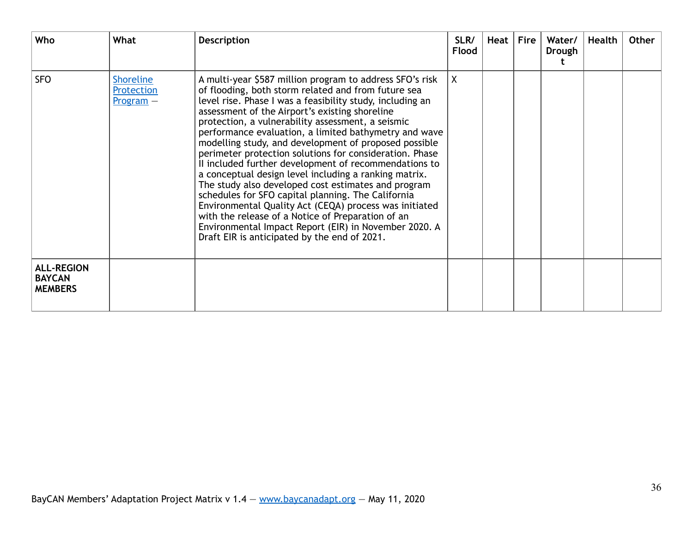| Who                                                  | What                                          | <b>Description</b>                                                                                                                                                                                                                                                                                                                                                                                                                                                                                                                                                                                                                                                                                                                                                                                                                                                                                                      | SLR/<br><b>Flood</b> | Heat | Fire | Water/<br>Drough | <b>Health</b> | Other |
|------------------------------------------------------|-----------------------------------------------|-------------------------------------------------------------------------------------------------------------------------------------------------------------------------------------------------------------------------------------------------------------------------------------------------------------------------------------------------------------------------------------------------------------------------------------------------------------------------------------------------------------------------------------------------------------------------------------------------------------------------------------------------------------------------------------------------------------------------------------------------------------------------------------------------------------------------------------------------------------------------------------------------------------------------|----------------------|------|------|------------------|---------------|-------|
| <b>SFO</b>                                           | <b>Shoreline</b><br>Protection<br>$Program -$ | A multi-year \$587 million program to address SFO's risk<br>of flooding, both storm related and from future sea<br>level rise. Phase I was a feasibility study, including an<br>assessment of the Airport's existing shoreline<br>protection, a vulnerability assessment, a seismic<br>performance evaluation, a limited bathymetry and wave<br>modelling study, and development of proposed possible<br>perimeter protection solutions for consideration. Phase<br>II included further development of recommendations to<br>a conceptual design level including a ranking matrix.<br>The study also developed cost estimates and program<br>schedules for SFO capital planning. The California<br>Environmental Quality Act (CEQA) process was initiated<br>with the release of a Notice of Preparation of an<br>Environmental Impact Report (EIR) in November 2020. A<br>Draft EIR is anticipated by the end of 2021. | X                    |      |      |                  |               |       |
| <b>ALL-REGION</b><br><b>BAYCAN</b><br><b>MEMBERS</b> |                                               |                                                                                                                                                                                                                                                                                                                                                                                                                                                                                                                                                                                                                                                                                                                                                                                                                                                                                                                         |                      |      |      |                  |               |       |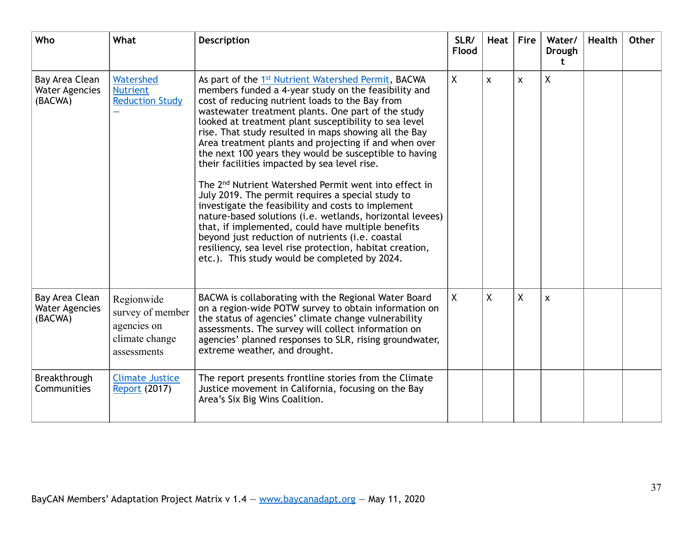| Who                                                | What                                                                           | <b>Description</b>                                                                                                                                                                                                                                                                                                                                                                                                                                                                                                                                                                                                                                                                                                                                                                                                                                                                                                                                                            | SLR/<br>Flood | Heat         | Fire           | Water/<br><b>Drough</b><br>t | <b>Health</b> | Other |
|----------------------------------------------------|--------------------------------------------------------------------------------|-------------------------------------------------------------------------------------------------------------------------------------------------------------------------------------------------------------------------------------------------------------------------------------------------------------------------------------------------------------------------------------------------------------------------------------------------------------------------------------------------------------------------------------------------------------------------------------------------------------------------------------------------------------------------------------------------------------------------------------------------------------------------------------------------------------------------------------------------------------------------------------------------------------------------------------------------------------------------------|---------------|--------------|----------------|------------------------------|---------------|-------|
| Bay Area Clean<br><b>Water Agencies</b><br>(BACWA) | Watershed<br><b>Nutrient</b><br><b>Reduction Study</b>                         | As part of the 1st Nutrient Watershed Permit, BACWA<br>members funded a 4-year study on the feasibility and<br>cost of reducing nutrient loads to the Bay from<br>wastewater treatment plants. One part of the study<br>looked at treatment plant susceptibility to sea level<br>rise. That study resulted in maps showing all the Bay<br>Area treatment plants and projecting if and when over<br>the next 100 years they would be susceptible to having<br>their facilities impacted by sea level rise.<br>The 2 <sup>nd</sup> Nutrient Watershed Permit went into effect in<br>July 2019. The permit requires a special study to<br>investigate the feasibility and costs to implement<br>nature-based solutions (i.e. wetlands, horizontal levees)<br>that, if implemented, could have multiple benefits<br>beyond just reduction of nutrients (i.e. coastal<br>resiliency, sea level rise protection, habitat creation,<br>etc.). This study would be completed by 2024. | $\mathsf{X}$  | X.           | $\mathsf{x}$   | $\mathsf{X}$                 |               |       |
| Bay Area Clean<br><b>Water Agencies</b><br>(BACWA) | Regionwide<br>survey of member<br>agencies on<br>climate change<br>assessments | BACWA is collaborating with the Regional Water Board<br>on a region-wide POTW survey to obtain information on<br>the status of agencies' climate change vulnerability<br>assessments. The survey will collect information on<br>agencies' planned responses to SLR, rising groundwater,<br>extreme weather, and drought.                                                                                                                                                                                                                                                                                                                                                                                                                                                                                                                                                                                                                                                      | $\mathsf{X}$  | $\mathsf{X}$ | $\overline{X}$ | $\mathsf{x}$                 |               |       |
| Breakthrough<br>Communities                        | <b>Climate Justice</b><br><b>Report (2017)</b>                                 | The report presents frontline stories from the Climate<br>Justice movement in California, focusing on the Bay<br>Area's Six Big Wins Coalition.                                                                                                                                                                                                                                                                                                                                                                                                                                                                                                                                                                                                                                                                                                                                                                                                                               |               |              |                |                              |               |       |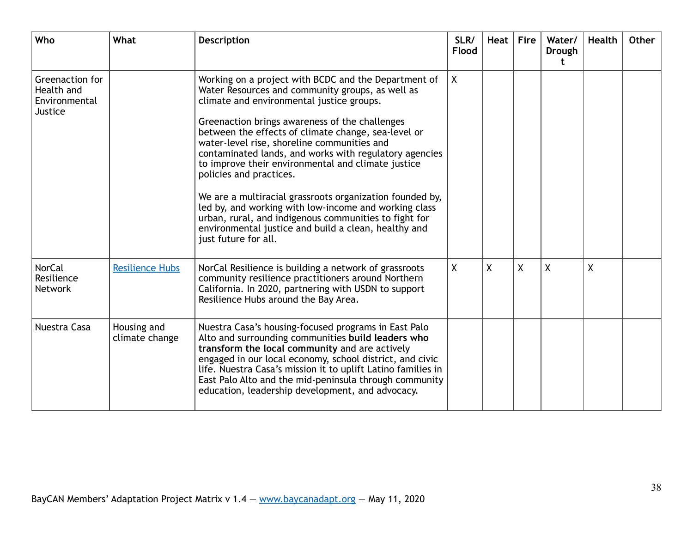| Who                                                       | What                          | <b>Description</b>                                                                                                                                                                                                                                                                                                                                                                                                                                                                                                                                                                                                                                                                                                     | SLR/<br>Flood | Heat | $ $ Fire | Water/<br>Drough<br>t. | <b>Health</b> | Other |
|-----------------------------------------------------------|-------------------------------|------------------------------------------------------------------------------------------------------------------------------------------------------------------------------------------------------------------------------------------------------------------------------------------------------------------------------------------------------------------------------------------------------------------------------------------------------------------------------------------------------------------------------------------------------------------------------------------------------------------------------------------------------------------------------------------------------------------------|---------------|------|----------|------------------------|---------------|-------|
| Greenaction for<br>Health and<br>Environmental<br>Justice |                               | Working on a project with BCDC and the Department of<br>Water Resources and community groups, as well as<br>climate and environmental justice groups.<br>Greenaction brings awareness of the challenges<br>between the effects of climate change, sea-level or<br>water-level rise, shoreline communities and<br>contaminated lands, and works with regulatory agencies<br>to improve their environmental and climate justice<br>policies and practices.<br>We are a multiracial grassroots organization founded by,<br>led by, and working with low-income and working class<br>urban, rural, and indigenous communities to fight for<br>environmental justice and build a clean, healthy and<br>just future for all. | $\sf X$       |      |          |                        |               |       |
| <b>NorCal</b><br>Resilience<br><b>Network</b>             | <b>Resilience Hubs</b>        | NorCal Resilience is building a network of grassroots<br>community resilience practitioners around Northern<br>California. In 2020, partnering with USDN to support<br>Resilience Hubs around the Bay Area.                                                                                                                                                                                                                                                                                                                                                                                                                                                                                                            | $\mathsf{X}$  | X    | Χ        | X                      | χ             |       |
| Nuestra Casa                                              | Housing and<br>climate change | Nuestra Casa's housing-focused programs in East Palo<br>Alto and surrounding communities build leaders who<br>transform the local community and are actively<br>engaged in our local economy, school district, and civic<br>life. Nuestra Casa's mission it to uplift Latino families in<br>East Palo Alto and the mid-peninsula through community<br>education, leadership development, and advocacy.                                                                                                                                                                                                                                                                                                                 |               |      |          |                        |               |       |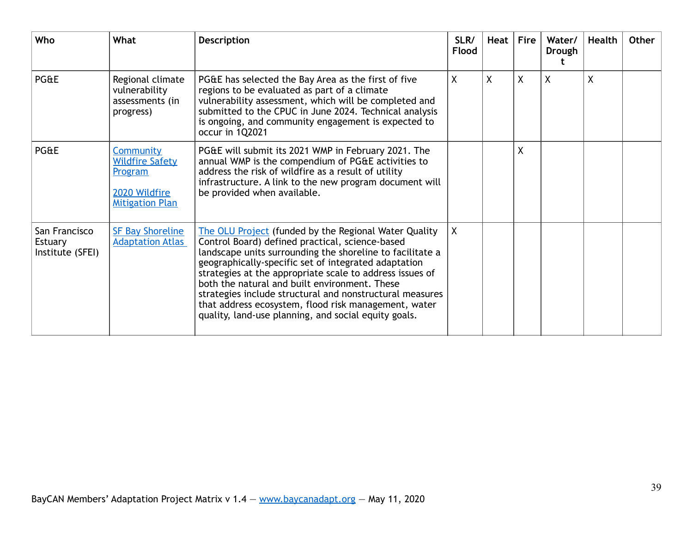| Who                                          | <b>What</b>                                                                               | <b>Description</b>                                                                                                                                                                                                                                                                                                                                                                                                                                                                                                     | SLR/<br><b>Flood</b> | Heat         | <b>Fire</b>  | Water/<br>Drough | Health | <b>Other</b> |
|----------------------------------------------|-------------------------------------------------------------------------------------------|------------------------------------------------------------------------------------------------------------------------------------------------------------------------------------------------------------------------------------------------------------------------------------------------------------------------------------------------------------------------------------------------------------------------------------------------------------------------------------------------------------------------|----------------------|--------------|--------------|------------------|--------|--------------|
| PG&E                                         | Regional climate<br>vulnerability<br>assessments (in<br>progress)                         | PG&E has selected the Bay Area as the first of five<br>regions to be evaluated as part of a climate<br>vulnerability assessment, which will be completed and<br>submitted to the CPUC in June 2024. Technical analysis<br>is ongoing, and community engagement is expected to<br>occur in 1Q2021                                                                                                                                                                                                                       | χ                    | $\mathsf{X}$ | $\mathsf{X}$ | X                | X      |              |
| PG&E                                         | Community<br><b>Wildfire Safety</b><br>Program<br>2020 Wildfire<br><b>Mitigation Plan</b> | PG&E will submit its 2021 WMP in February 2021. The<br>annual WMP is the compendium of PG&E activities to<br>address the risk of wildfire as a result of utility<br>infrastructure. A link to the new program document will<br>be provided when available.                                                                                                                                                                                                                                                             |                      |              | X            |                  |        |              |
| San Francisco<br>Estuary<br>Institute (SFEI) | <b>SF Bay Shoreline</b><br><b>Adaptation Atlas</b>                                        | The OLU Project (funded by the Regional Water Quality<br>Control Board) defined practical, science-based<br>landscape units surrounding the shoreline to facilitate a<br>geographically-specific set of integrated adaptation<br>strategies at the appropriate scale to address issues of<br>both the natural and built environment. These<br>strategies include structural and nonstructural measures<br>that address ecosystem, flood risk management, water<br>quality, land-use planning, and social equity goals. | X                    |              |              |                  |        |              |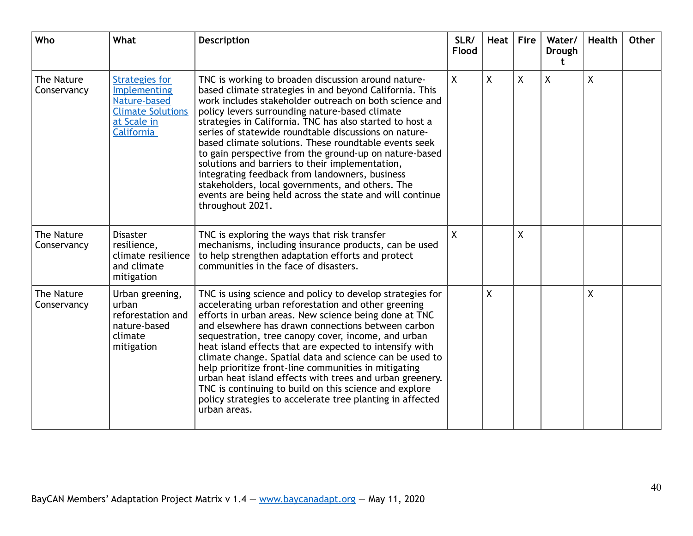| Who                       | What                                                                                                           | <b>Description</b>                                                                                                                                                                                                                                                                                                                                                                                                                                                                                                                                                                                                                                                                                          | SLR/<br><b>Flood</b> | Heat         | <b>Fire</b>  | Water/<br>Drough<br>t | <b>Health</b> | Other |
|---------------------------|----------------------------------------------------------------------------------------------------------------|-------------------------------------------------------------------------------------------------------------------------------------------------------------------------------------------------------------------------------------------------------------------------------------------------------------------------------------------------------------------------------------------------------------------------------------------------------------------------------------------------------------------------------------------------------------------------------------------------------------------------------------------------------------------------------------------------------------|----------------------|--------------|--------------|-----------------------|---------------|-------|
| The Nature<br>Conservancy | <b>Strategies for</b><br>Implementing<br>Nature-based<br><b>Climate Solutions</b><br>at Scale in<br>California | TNC is working to broaden discussion around nature-<br>based climate strategies in and beyond California. This<br>work includes stakeholder outreach on both science and<br>policy levers surrounding nature-based climate<br>strategies in California. TNC has also started to host a<br>series of statewide roundtable discussions on nature-<br>based climate solutions. These roundtable events seek<br>to gain perspective from the ground-up on nature-based<br>solutions and barriers to their implementation,<br>integrating feedback from landowners, business<br>stakeholders, local governments, and others. The<br>events are being held across the state and will continue<br>throughout 2021. | $\mathsf{X}$         | $\mathsf{X}$ | $\mathsf{X}$ | $\mathsf{X}$          | X             |       |
| The Nature<br>Conservancy | <b>Disaster</b><br>resilience,<br>climate resilience<br>and climate<br>mitigation                              | TNC is exploring the ways that risk transfer<br>mechanisms, including insurance products, can be used<br>to help strengthen adaptation efforts and protect<br>communities in the face of disasters.                                                                                                                                                                                                                                                                                                                                                                                                                                                                                                         | $\sf X$              |              | χ            |                       |               |       |
| The Nature<br>Conservancy | Urban greening,<br>urban<br>reforestation and<br>nature-based<br>climate<br>mitigation                         | TNC is using science and policy to develop strategies for<br>accelerating urban reforestation and other greening<br>efforts in urban areas. New science being done at TNC<br>and elsewhere has drawn connections between carbon<br>sequestration, tree canopy cover, income, and urban<br>heat island effects that are expected to intensify with<br>climate change. Spatial data and science can be used to<br>help prioritize front-line communities in mitigating<br>urban heat island effects with trees and urban greenery.<br>TNC is continuing to build on this science and explore<br>policy strategies to accelerate tree planting in affected<br>urban areas.                                     |                      | X            |              |                       | X             |       |